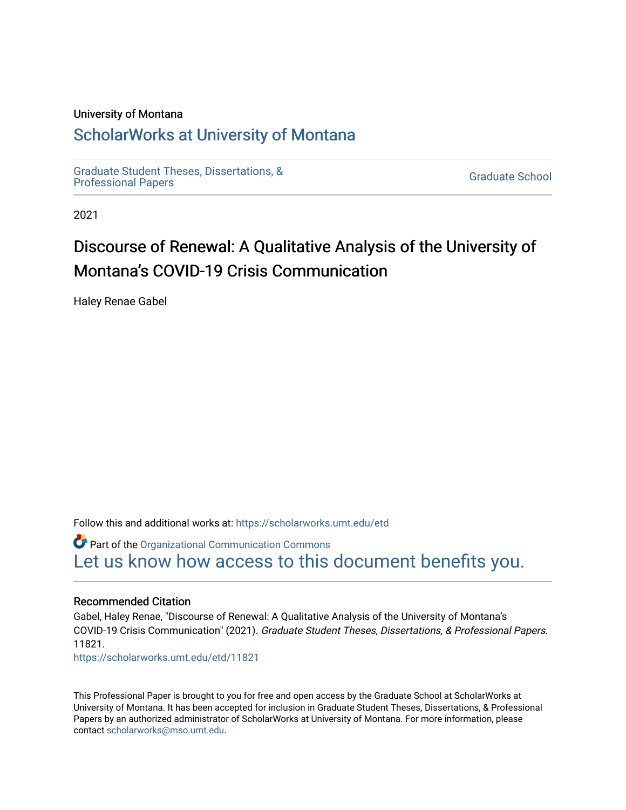## University of Montana

## [ScholarWorks at University of Montana](https://scholarworks.umt.edu/)

[Graduate Student Theses, Dissertations, &](https://scholarworks.umt.edu/etd) Graduate Student Theses, Dissertations, & Contract Control of the Graduate School [Professional Papers](https://scholarworks.umt.edu/etd) Contract Control of the Contract Control of the Contract Control of the Contract Contract Contract Control of the Contra

2021

# Discourse of Renewal: A Qualitative Analysis of the University of Montana's COVID-19 Crisis Communication

Haley Renae Gabel

Follow this and additional works at: [https://scholarworks.umt.edu/etd](https://scholarworks.umt.edu/etd?utm_source=scholarworks.umt.edu%2Fetd%2F11821&utm_medium=PDF&utm_campaign=PDFCoverPages) 

Part of the [Organizational Communication Commons](https://network.bepress.com/hgg/discipline/335?utm_source=scholarworks.umt.edu%2Fetd%2F11821&utm_medium=PDF&utm_campaign=PDFCoverPages) [Let us know how access to this document benefits you.](https://goo.gl/forms/s2rGfXOLzz71qgsB2) 

## Recommended Citation

Gabel, Haley Renae, "Discourse of Renewal: A Qualitative Analysis of the University of Montana's COVID-19 Crisis Communication" (2021). Graduate Student Theses, Dissertations, & Professional Papers. 11821.

[https://scholarworks.umt.edu/etd/11821](https://scholarworks.umt.edu/etd/11821?utm_source=scholarworks.umt.edu%2Fetd%2F11821&utm_medium=PDF&utm_campaign=PDFCoverPages) 

This Professional Paper is brought to you for free and open access by the Graduate School at ScholarWorks at University of Montana. It has been accepted for inclusion in Graduate Student Theses, Dissertations, & Professional Papers by an authorized administrator of ScholarWorks at University of Montana. For more information, please contact [scholarworks@mso.umt.edu](mailto:scholarworks@mso.umt.edu).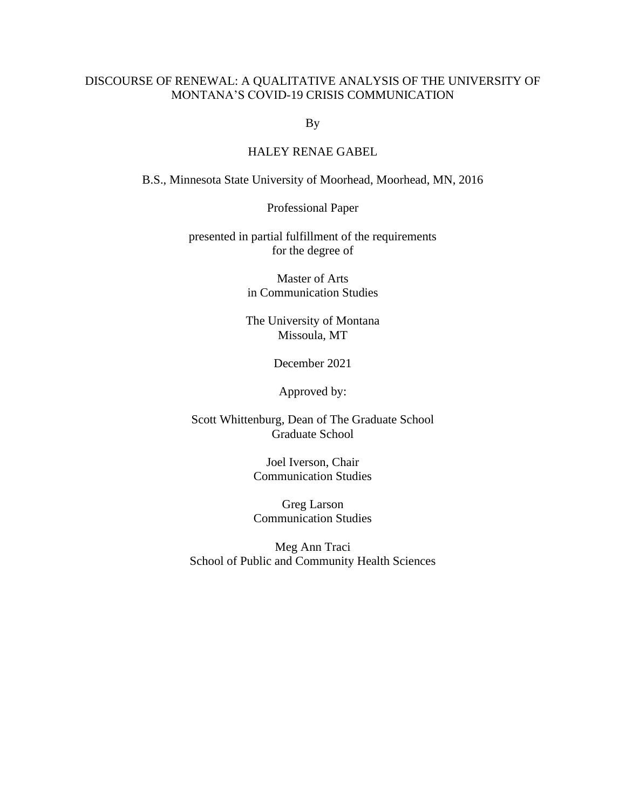## DISCOURSE OF RENEWAL: A QUALITATIVE ANALYSIS OF THE UNIVERSITY OF MONTANA'S COVID-19 CRISIS COMMUNICATION

By

## HALEY RENAE GABEL

B.S., Minnesota State University of Moorhead, Moorhead, MN, 2016

Professional Paper

presented in partial fulfillment of the requirements for the degree of

> Master of Arts in Communication Studies

The University of Montana Missoula, MT

December 2021

Approved by:

Scott Whittenburg, Dean of The Graduate School Graduate School

> Joel Iverson, Chair Communication Studies

> Greg Larson Communication Studies

Meg Ann Traci School of Public and Community Health Sciences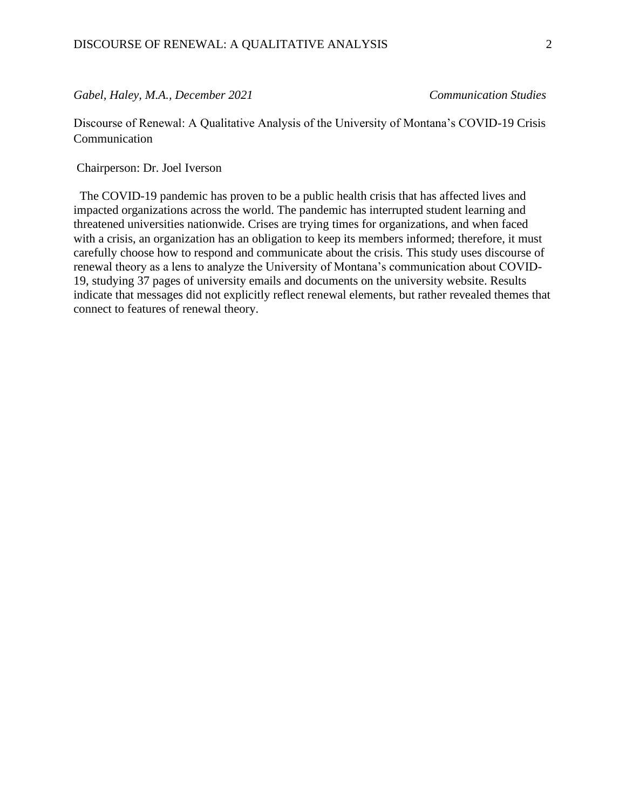## *Gabel, Haley, M.A., December 2021 Communication Studies*

Discourse of Renewal: A Qualitative Analysis of the University of Montana's COVID-19 Crisis Communication

Chairperson: Dr. Joel Iverson

 The COVID-19 pandemic has proven to be a public health crisis that has affected lives and impacted organizations across the world. The pandemic has interrupted student learning and threatened universities nationwide. Crises are trying times for organizations, and when faced with a crisis, an organization has an obligation to keep its members informed; therefore, it must carefully choose how to respond and communicate about the crisis. This study uses discourse of renewal theory as a lens to analyze the University of Montana's communication about COVID-19, studying 37 pages of university emails and documents on the university website. Results indicate that messages did not explicitly reflect renewal elements, but rather revealed themes that connect to features of renewal theory.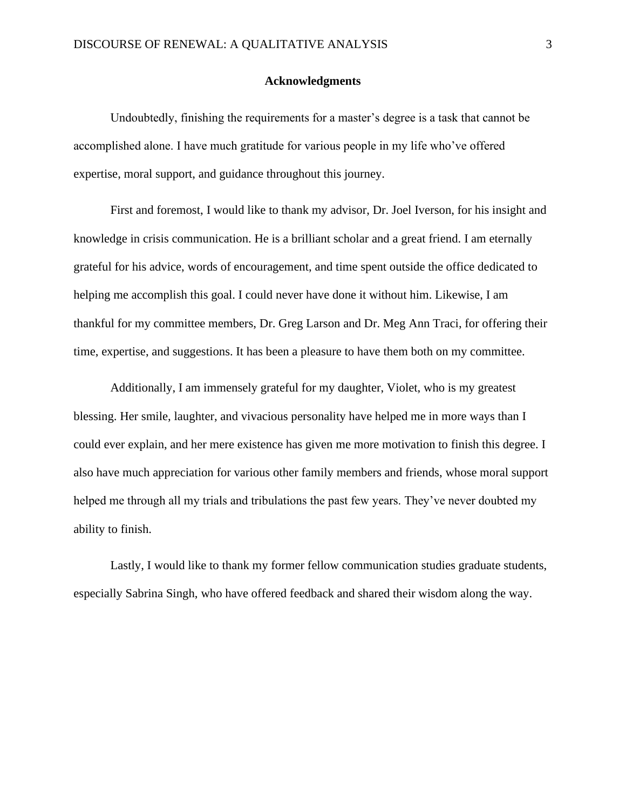#### **Acknowledgments**

Undoubtedly, finishing the requirements for a master's degree is a task that cannot be accomplished alone. I have much gratitude for various people in my life who've offered expertise, moral support, and guidance throughout this journey.

First and foremost, I would like to thank my advisor, Dr. Joel Iverson, for his insight and knowledge in crisis communication. He is a brilliant scholar and a great friend. I am eternally grateful for his advice, words of encouragement, and time spent outside the office dedicated to helping me accomplish this goal. I could never have done it without him. Likewise, I am thankful for my committee members, Dr. Greg Larson and Dr. Meg Ann Traci, for offering their time, expertise, and suggestions. It has been a pleasure to have them both on my committee.

Additionally, I am immensely grateful for my daughter, Violet, who is my greatest blessing. Her smile, laughter, and vivacious personality have helped me in more ways than I could ever explain, and her mere existence has given me more motivation to finish this degree. I also have much appreciation for various other family members and friends, whose moral support helped me through all my trials and tribulations the past few years. They've never doubted my ability to finish.

Lastly, I would like to thank my former fellow communication studies graduate students, especially Sabrina Singh, who have offered feedback and shared their wisdom along the way.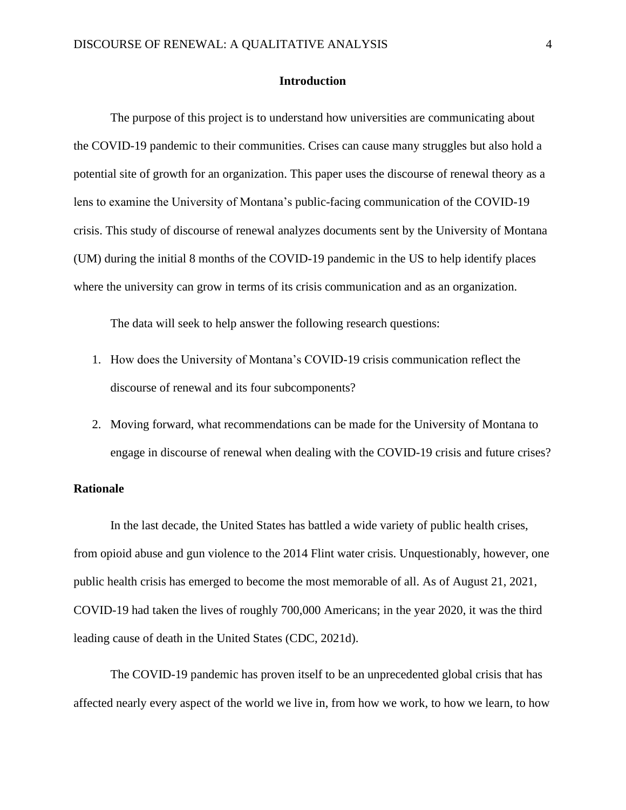#### **Introduction**

The purpose of this project is to understand how universities are communicating about the COVID-19 pandemic to their communities. Crises can cause many struggles but also hold a potential site of growth for an organization. This paper uses the discourse of renewal theory as a lens to examine the University of Montana's public-facing communication of the COVID-19 crisis. This study of discourse of renewal analyzes documents sent by the University of Montana (UM) during the initial 8 months of the COVID-19 pandemic in the US to help identify places where the university can grow in terms of its crisis communication and as an organization.

The data will seek to help answer the following research questions:

- 1. How does the University of Montana's COVID-19 crisis communication reflect the discourse of renewal and its four subcomponents?
- 2. Moving forward, what recommendations can be made for the University of Montana to engage in discourse of renewal when dealing with the COVID-19 crisis and future crises?

## **Rationale**

In the last decade, the United States has battled a wide variety of public health crises, from opioid abuse and gun violence to the 2014 Flint water crisis. Unquestionably, however, one public health crisis has emerged to become the most memorable of all. As of August 21, 2021, COVID-19 had taken the lives of roughly 700,000 Americans; in the year 2020, it was the third leading cause of death in the United States (CDC, 2021d).

The COVID-19 pandemic has proven itself to be an unprecedented global crisis that has affected nearly every aspect of the world we live in, from how we work, to how we learn, to how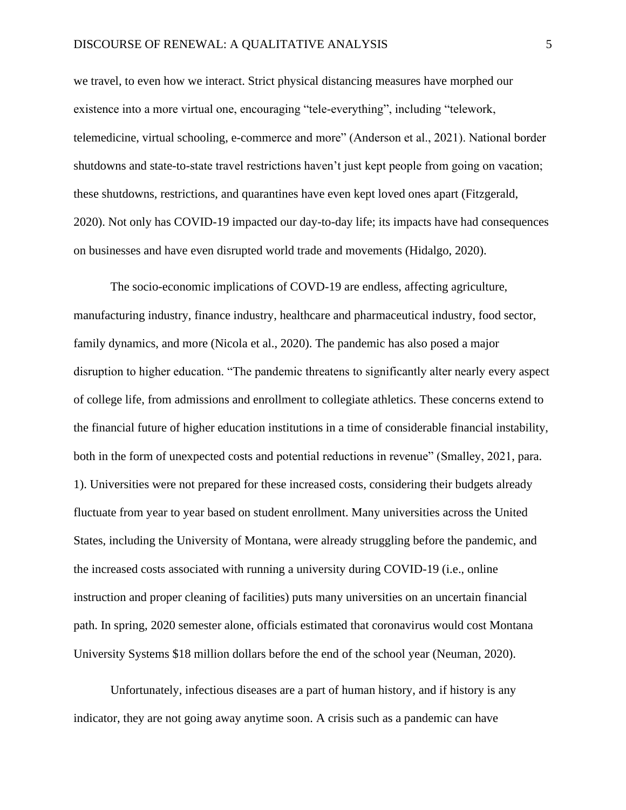we travel, to even how we interact. Strict physical distancing measures have morphed our existence into a more virtual one, encouraging "tele-everything", including "telework, telemedicine, virtual schooling, e-commerce and more" (Anderson et al., 2021). National border shutdowns and state-to-state travel restrictions haven't just kept people from going on vacation; these shutdowns, restrictions, and quarantines have even kept loved ones apart (Fitzgerald, 2020). Not only has COVID-19 impacted our day-to-day life; its impacts have had consequences on businesses and have even disrupted world trade and movements (Hidalgo, 2020).

The socio-economic implications of COVD-19 are endless, affecting agriculture, manufacturing industry, finance industry, healthcare and pharmaceutical industry, food sector, family dynamics, and more (Nicola et al., 2020). The pandemic has also posed a major disruption to higher education. "The pandemic threatens to significantly alter nearly every aspect of college life, from admissions and enrollment to collegiate athletics. These concerns extend to the financial future of higher education institutions in a time of considerable financial instability, both in the form of unexpected costs and potential reductions in revenue" (Smalley, 2021, para. 1). Universities were not prepared for these increased costs, considering their budgets already fluctuate from year to year based on student enrollment. Many universities across the United States, including the University of Montana, were already struggling before the pandemic, and the increased costs associated with running a university during COVID-19 (i.e., online instruction and proper cleaning of facilities) puts many universities on an uncertain financial path. In spring, 2020 semester alone, officials estimated that coronavirus would cost Montana University Systems \$18 million dollars before the end of the school year (Neuman, 2020).

Unfortunately, infectious diseases are a part of human history, and if history is any indicator, they are not going away anytime soon. A crisis such as a pandemic can have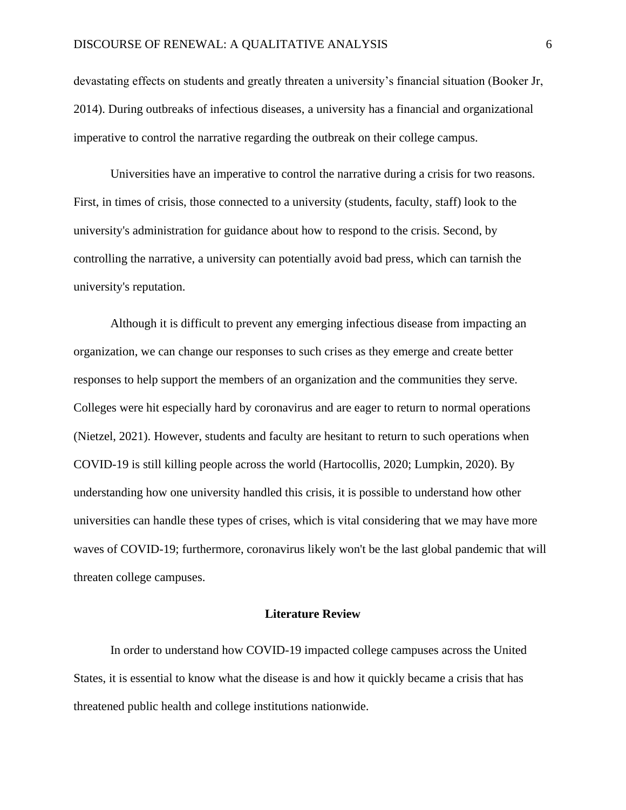devastating effects on students and greatly threaten a university's financial situation (Booker Jr, 2014). During outbreaks of infectious diseases, a university has a financial and organizational imperative to control the narrative regarding the outbreak on their college campus.

Universities have an imperative to control the narrative during a crisis for two reasons. First, in times of crisis, those connected to a university (students, faculty, staff) look to the university's administration for guidance about how to respond to the crisis. Second, by controlling the narrative, a university can potentially avoid bad press, which can tarnish the university's reputation.

Although it is difficult to prevent any emerging infectious disease from impacting an organization, we can change our responses to such crises as they emerge and create better responses to help support the members of an organization and the communities they serve. Colleges were hit especially hard by coronavirus and are eager to return to normal operations (Nietzel, 2021). However, students and faculty are hesitant to return to such operations when COVID-19 is still killing people across the world (Hartocollis, 2020; Lumpkin, 2020). By understanding how one university handled this crisis, it is possible to understand how other universities can handle these types of crises, which is vital considering that we may have more waves of COVID-19; furthermore, coronavirus likely won't be the last global pandemic that will threaten college campuses.

#### **Literature Review**

In order to understand how COVID-19 impacted college campuses across the United States, it is essential to know what the disease is and how it quickly became a crisis that has threatened public health and college institutions nationwide.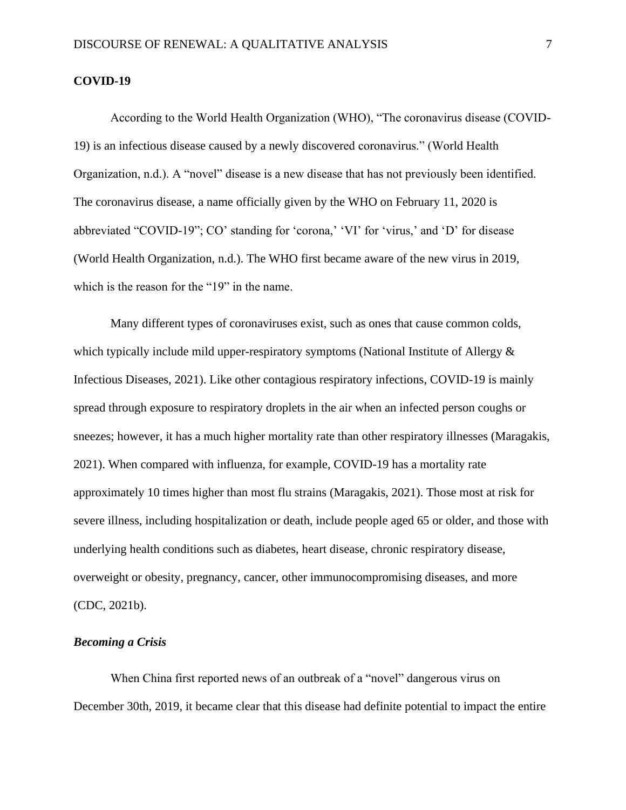#### **COVID-19**

According to the World Health Organization (WHO), "The coronavirus disease (COVID-19) is an infectious disease caused by a newly discovered coronavirus." (World Health Organization, n.d.). A "novel" disease is a new disease that has not previously been identified. The coronavirus disease, a name officially given by the WHO on February 11, 2020 is abbreviated "COVID-19"; CO' standing for 'corona,' 'VI' for 'virus,' and 'D' for disease (World Health Organization, n.d.). The WHO first became aware of the new virus in 2019, which is the reason for the "19" in the name.

Many different types of coronaviruses exist, such as ones that cause common colds, which typically include mild upper-respiratory symptoms (National Institute of Allergy  $\&$ Infectious Diseases, 2021). Like other contagious respiratory infections, COVID-19 is mainly spread through exposure to respiratory droplets in the air when an infected person coughs or sneezes; however, it has a much higher mortality rate than other respiratory illnesses (Maragakis, 2021). When compared with influenza, for example, COVID-19 has a mortality rate approximately 10 times higher than most flu strains (Maragakis, 2021). Those most at risk for severe illness, including hospitalization or death, include people aged 65 or older, and those with underlying health conditions such as diabetes, heart disease, chronic respiratory disease, overweight or obesity, pregnancy, cancer, other immunocompromising diseases, and more (CDC, 2021b).

## *Becoming a Crisis*

When China first reported news of an outbreak of a "novel" dangerous virus on December 30th, 2019, it became clear that this disease had definite potential to impact the entire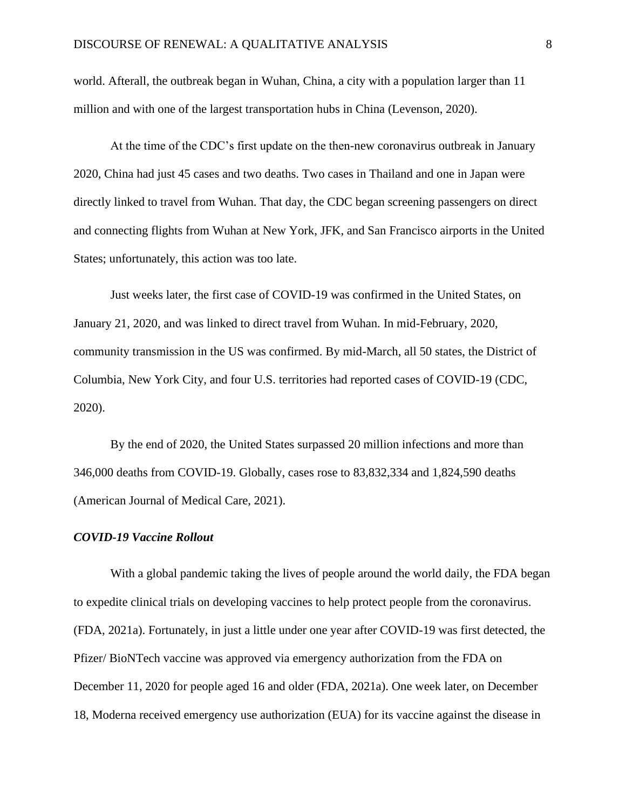world. Afterall, the outbreak began in Wuhan, China, a city with a population larger than 11 million and with one of the largest transportation hubs in China (Levenson, 2020).

At the time of the CDC's first update on the then-new coronavirus outbreak in January 2020, China had just 45 cases and two deaths. Two cases in Thailand and one in Japan were directly linked to travel from Wuhan. That day, the CDC began screening passengers on direct and connecting flights from Wuhan at New York, JFK, and San Francisco airports in the United States; unfortunately, this action was too late.

Just weeks later, the first case of COVID-19 was confirmed in the United States, on January 21, 2020, and was linked to direct travel from Wuhan. In mid-February, 2020, community transmission in the US was confirmed. By mid-March, all 50 states, the District of Columbia, New York City, and four U.S. territories had reported cases of COVID-19 (CDC, 2020).

By the end of 2020, the United States surpassed 20 million infections and more than 346,000 deaths from COVID-19. Globally, cases rose to 83,832,334 and 1,824,590 deaths (American Journal of Medical Care, 2021).

## *COVID-19 Vaccine Rollout*

With a global pandemic taking the lives of people around the world daily, the FDA began to expedite clinical trials on developing vaccines to help protect people from the coronavirus. (FDA, 2021a). Fortunately, in just a little under one year after COVID-19 was first detected, the Pfizer/ BioNTech vaccine was approved via emergency authorization from the FDA on December 11, 2020 for people aged 16 and older (FDA, 2021a). One week later, on December 18, Moderna received emergency use authorization (EUA) for its vaccine against the disease in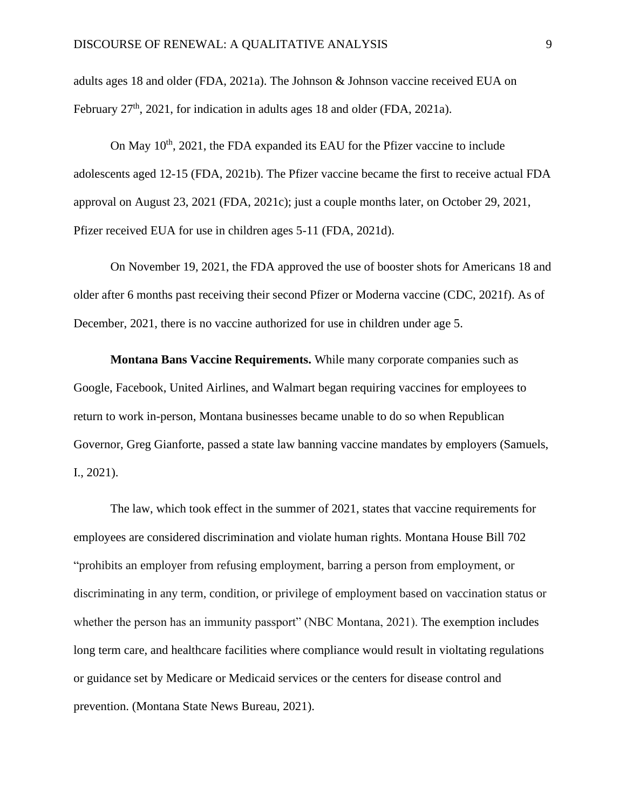adults ages 18 and older (FDA, 2021a). The Johnson & Johnson vaccine received EUA on February 27<sup>th</sup>, 2021, for indication in adults ages 18 and older (FDA, 2021a).

On May  $10^{th}$ , 2021, the FDA expanded its EAU for the Pfizer vaccine to include adolescents aged 12-15 (FDA, 2021b). The Pfizer vaccine became the first to receive actual FDA approval on August 23, 2021 (FDA, 2021c); just a couple months later, on October 29, 2021, Pfizer received EUA for use in children ages 5-11 (FDA, 2021d).

On November 19, 2021, the FDA approved the use of booster shots for Americans 18 and older after 6 months past receiving their second Pfizer or Moderna vaccine (CDC, 2021f). As of December, 2021, there is no vaccine authorized for use in children under age 5.

**Montana Bans Vaccine Requirements.** While many corporate companies such as Google, Facebook, United Airlines, and Walmart began requiring vaccines for employees to return to work in-person, Montana businesses became unable to do so when Republican Governor, Greg Gianforte, passed a state law banning vaccine mandates by employers (Samuels, I., 2021).

The law, which took effect in the summer of 2021, states that vaccine requirements for employees are considered discrimination and violate human rights. Montana House Bill 702 "prohibits an employer from refusing employment, barring a person from employment, or discriminating in any term, condition, or privilege of employment based on vaccination status or whether the person has an immunity passport" (NBC Montana, 2021). The exemption includes long term care, and healthcare facilities where compliance would result in violtating regulations or guidance set by Medicare or Medicaid services or the centers for disease control and prevention. (Montana State News Bureau, 2021).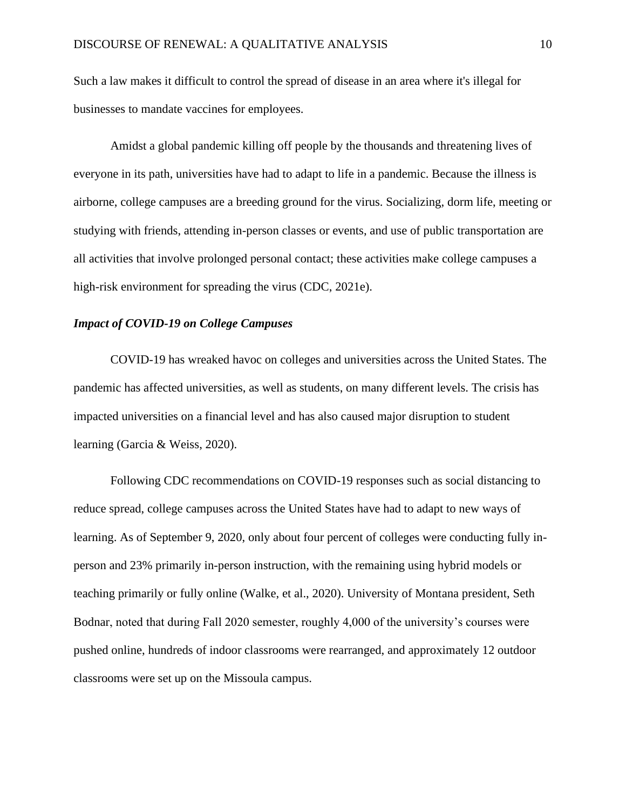Such a law makes it difficult to control the spread of disease in an area where it's illegal for businesses to mandate vaccines for employees.

Amidst a global pandemic killing off people by the thousands and threatening lives of everyone in its path, universities have had to adapt to life in a pandemic. Because the illness is airborne, college campuses are a breeding ground for the virus. Socializing, dorm life, meeting or studying with friends, attending in-person classes or events, and use of public transportation are all activities that involve prolonged personal contact; these activities make college campuses a high-risk environment for spreading the virus (CDC, 2021e).

#### *Impact of COVID-19 on College Campuses*

COVID-19 has wreaked havoc on colleges and universities across the United States. The pandemic has affected universities, as well as students, on many different levels. The crisis has impacted universities on a financial level and has also caused major disruption to student learning (Garcia & Weiss, 2020).

Following CDC recommendations on COVID-19 responses such as social distancing to reduce spread, college campuses across the United States have had to adapt to new ways of learning. As of September 9, 2020, only about four percent of colleges were conducting fully inperson and 23% primarily in-person instruction, with the remaining using hybrid models or teaching primarily or fully online (Walke, et al., 2020). University of Montana president, Seth Bodnar, noted that during Fall 2020 semester, roughly 4,000 of the university's courses were pushed online, hundreds of indoor classrooms were rearranged, and approximately 12 outdoor classrooms were set up on the Missoula campus.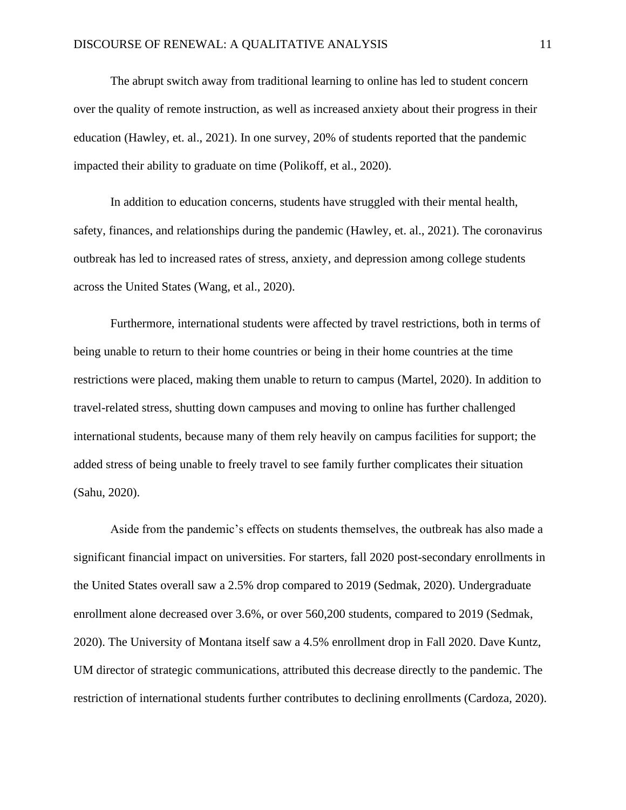The abrupt switch away from traditional learning to online has led to student concern over the quality of remote instruction, as well as increased anxiety about their progress in their education (Hawley, et. al., 2021). In one survey, 20% of students reported that the pandemic impacted their ability to graduate on time (Polikoff, et al., 2020).

In addition to education concerns, students have struggled with their mental health, safety, finances, and relationships during the pandemic (Hawley, et. al., 2021). The coronavirus outbreak has led to increased rates of stress, anxiety, and depression among college students across the United States (Wang, et al., 2020).

Furthermore, international students were affected by travel restrictions, both in terms of being unable to return to their home countries or being in their home countries at the time restrictions were placed, making them unable to return to campus (Martel, 2020). In addition to travel-related stress, shutting down campuses and moving to online has further challenged international students, because many of them rely heavily on campus facilities for support; the added stress of being unable to freely travel to see family further complicates their situation (Sahu, 2020).

Aside from the pandemic's effects on students themselves, the outbreak has also made a significant financial impact on universities. For starters, fall 2020 post-secondary enrollments in the United States overall saw a 2.5% drop compared to 2019 (Sedmak, 2020). Undergraduate enrollment alone decreased over 3.6%, or over 560,200 students, compared to 2019 (Sedmak, 2020). The University of Montana itself saw a 4.5% enrollment drop in Fall 2020. Dave Kuntz, UM director of strategic communications, attributed this decrease directly to the pandemic. The restriction of international students further contributes to declining enrollments (Cardoza, 2020).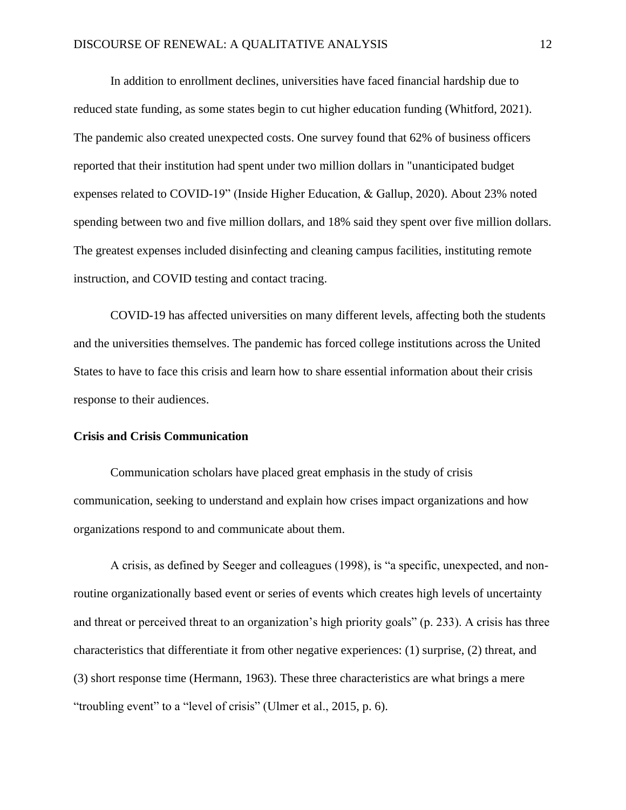In addition to enrollment declines, universities have faced financial hardship due to reduced state funding, as some states begin to cut higher education funding (Whitford, 2021). The pandemic also created unexpected costs. One survey found that 62% of business officers reported that their institution had spent under two million dollars in "unanticipated budget expenses related to COVID-19" (Inside Higher Education, & Gallup, 2020). About 23% noted spending between two and five million dollars, and 18% said they spent over five million dollars. The greatest expenses included disinfecting and cleaning campus facilities, instituting remote instruction, and COVID testing and contact tracing.

COVID-19 has affected universities on many different levels, affecting both the students and the universities themselves. The pandemic has forced college institutions across the United States to have to face this crisis and learn how to share essential information about their crisis response to their audiences.

#### **Crisis and Crisis Communication**

Communication scholars have placed great emphasis in the study of crisis communication, seeking to understand and explain how crises impact organizations and how organizations respond to and communicate about them.

A crisis, as defined by Seeger and colleagues (1998), is "a specific, unexpected, and nonroutine organizationally based event or series of events which creates high levels of uncertainty and threat or perceived threat to an organization's high priority goals" (p. 233). A crisis has three characteristics that differentiate it from other negative experiences: (1) surprise, (2) threat, and (3) short response time (Hermann, 1963). These three characteristics are what brings a mere "troubling event" to a "level of crisis" (Ulmer et al., 2015, p. 6).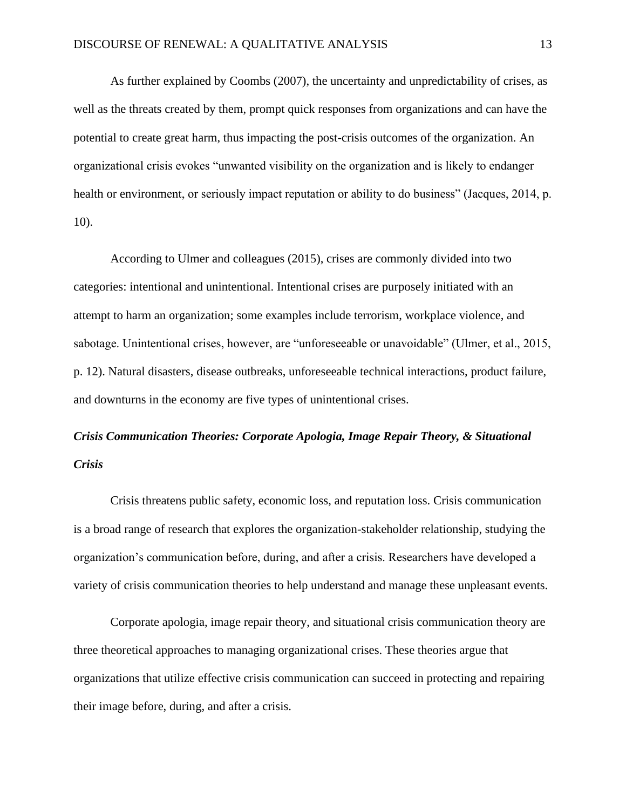As further explained by Coombs (2007), the uncertainty and unpredictability of crises, as well as the threats created by them, prompt quick responses from organizations and can have the potential to create great harm, thus impacting the post-crisis outcomes of the organization. An organizational crisis evokes "unwanted visibility on the organization and is likely to endanger health or environment, or seriously impact reputation or ability to do business" (Jacques, 2014, p. 10).

According to Ulmer and colleagues (2015), crises are commonly divided into two categories: intentional and unintentional. Intentional crises are purposely initiated with an attempt to harm an organization; some examples include terrorism, workplace violence, and sabotage. Unintentional crises, however, are "unforeseeable or unavoidable" (Ulmer, et al., 2015, p. 12). Natural disasters, disease outbreaks, unforeseeable technical interactions, product failure, and downturns in the economy are five types of unintentional crises.

## *Crisis Communication Theories: Corporate Apologia, Image Repair Theory, & Situational Crisis*

Crisis threatens public safety, economic loss, and reputation loss. Crisis communication is a broad range of research that explores the organization-stakeholder relationship, studying the organization's communication before, during, and after a crisis. Researchers have developed a variety of crisis communication theories to help understand and manage these unpleasant events.

Corporate apologia, image repair theory, and situational crisis communication theory are three theoretical approaches to managing organizational crises. These theories argue that organizations that utilize effective crisis communication can succeed in protecting and repairing their image before, during, and after a crisis.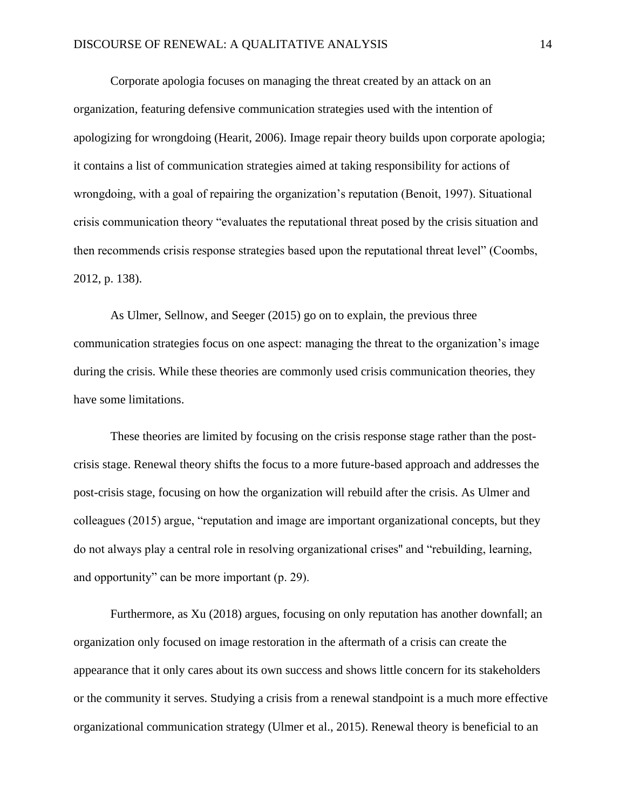Corporate apologia focuses on managing the threat created by an attack on an organization, featuring defensive communication strategies used with the intention of apologizing for wrongdoing (Hearit, 2006). Image repair theory builds upon corporate apologia; it contains a list of communication strategies aimed at taking responsibility for actions of wrongdoing, with a goal of repairing the organization's reputation (Benoit, 1997). Situational crisis communication theory "evaluates the reputational threat posed by the crisis situation and then recommends crisis response strategies based upon the reputational threat level" (Coombs, 2012, p. 138).

As Ulmer, Sellnow, and Seeger (2015) go on to explain, the previous three communication strategies focus on one aspect: managing the threat to the organization's image during the crisis. While these theories are commonly used crisis communication theories, they have some limitations.

These theories are limited by focusing on the crisis response stage rather than the postcrisis stage. Renewal theory shifts the focus to a more future-based approach and addresses the post-crisis stage, focusing on how the organization will rebuild after the crisis. As Ulmer and colleagues (2015) argue, "reputation and image are important organizational concepts, but they do not always play a central role in resolving organizational crises'' and "rebuilding, learning, and opportunity" can be more important (p. 29).

Furthermore, as Xu (2018) argues, focusing on only reputation has another downfall; an organization only focused on image restoration in the aftermath of a crisis can create the appearance that it only cares about its own success and shows little concern for its stakeholders or the community it serves. Studying a crisis from a renewal standpoint is a much more effective organizational communication strategy (Ulmer et al., 2015). Renewal theory is beneficial to an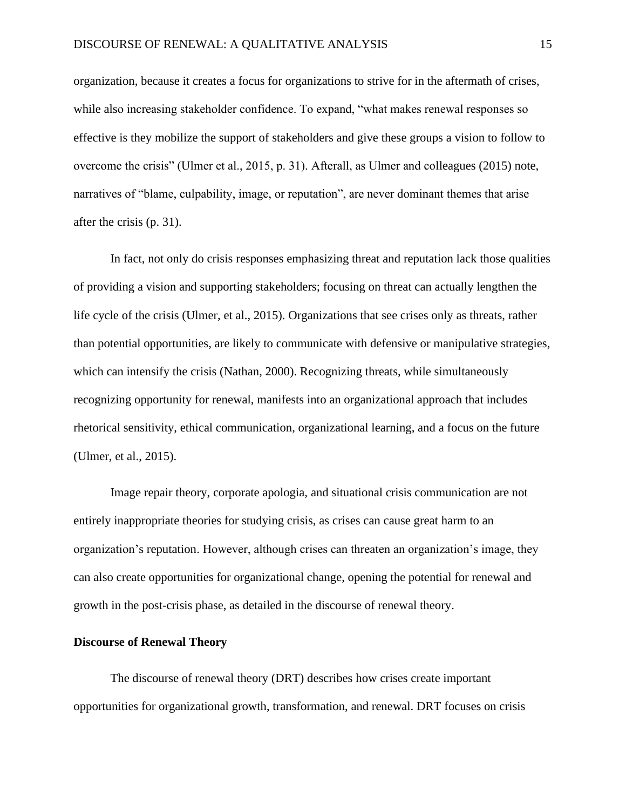organization, because it creates a focus for organizations to strive for in the aftermath of crises, while also increasing stakeholder confidence. To expand, "what makes renewal responses so effective is they mobilize the support of stakeholders and give these groups a vision to follow to overcome the crisis" (Ulmer et al., 2015, p. 31). Afterall, as Ulmer and colleagues (2015) note, narratives of "blame, culpability, image, or reputation", are never dominant themes that arise after the crisis (p. 31).

In fact, not only do crisis responses emphasizing threat and reputation lack those qualities of providing a vision and supporting stakeholders; focusing on threat can actually lengthen the life cycle of the crisis (Ulmer, et al., 2015). Organizations that see crises only as threats, rather than potential opportunities, are likely to communicate with defensive or manipulative strategies, which can intensify the crisis (Nathan, 2000). Recognizing threats, while simultaneously recognizing opportunity for renewal, manifests into an organizational approach that includes rhetorical sensitivity, ethical communication, organizational learning, and a focus on the future (Ulmer, et al., 2015).

Image repair theory, corporate apologia, and situational crisis communication are not entirely inappropriate theories for studying crisis, as crises can cause great harm to an organization's reputation. However, although crises can threaten an organization's image, they can also create opportunities for organizational change, opening the potential for renewal and growth in the post-crisis phase, as detailed in the discourse of renewal theory.

## **Discourse of Renewal Theory**

The discourse of renewal theory (DRT) describes how crises create important opportunities for organizational growth, transformation, and renewal. DRT focuses on crisis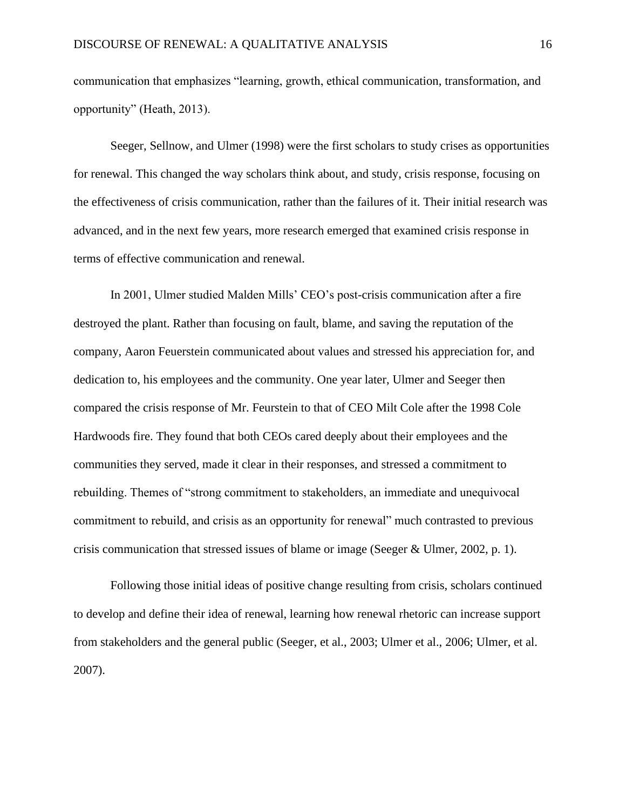communication that emphasizes "learning, growth, ethical communication, transformation, and opportunity" (Heath, 2013).

Seeger, Sellnow, and Ulmer (1998) were the first scholars to study crises as opportunities for renewal. This changed the way scholars think about, and study, crisis response, focusing on the effectiveness of crisis communication, rather than the failures of it. Their initial research was advanced, and in the next few years, more research emerged that examined crisis response in terms of effective communication and renewal.

In 2001, Ulmer studied Malden Mills' CEO's post-crisis communication after a fire destroyed the plant. Rather than focusing on fault, blame, and saving the reputation of the company, Aaron Feuerstein communicated about values and stressed his appreciation for, and dedication to, his employees and the community. One year later, Ulmer and Seeger then compared the crisis response of Mr. Feurstein to that of CEO Milt Cole after the 1998 Cole Hardwoods fire. They found that both CEOs cared deeply about their employees and the communities they served, made it clear in their responses, and stressed a commitment to rebuilding. Themes of "strong commitment to stakeholders, an immediate and unequivocal commitment to rebuild, and crisis as an opportunity for renewal" much contrasted to previous crisis communication that stressed issues of blame or image (Seeger & Ulmer, 2002, p. 1).

Following those initial ideas of positive change resulting from crisis, scholars continued to develop and define their idea of renewal, learning how renewal rhetoric can increase support from stakeholders and the general public (Seeger, et al., 2003; Ulmer et al., 2006; Ulmer, et al. 2007).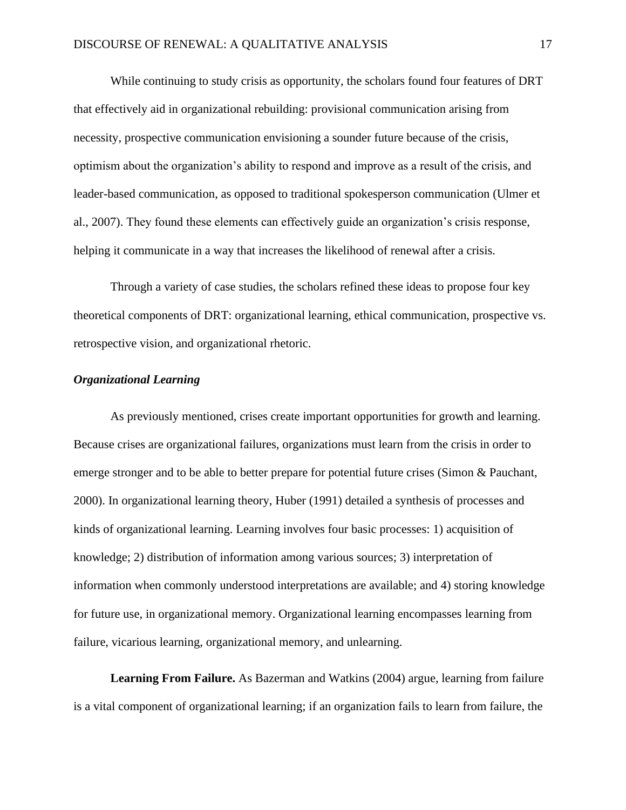While continuing to study crisis as opportunity, the scholars found four features of DRT that effectively aid in organizational rebuilding: provisional communication arising from necessity, prospective communication envisioning a sounder future because of the crisis, optimism about the organization's ability to respond and improve as a result of the crisis, and leader-based communication, as opposed to traditional spokesperson communication (Ulmer et al., 2007). They found these elements can effectively guide an organization's crisis response, helping it communicate in a way that increases the likelihood of renewal after a crisis.

Through a variety of case studies, the scholars refined these ideas to propose four key theoretical components of DRT: organizational learning, ethical communication, prospective vs. retrospective vision, and organizational rhetoric.

## *Organizational Learning*

As previously mentioned, crises create important opportunities for growth and learning. Because crises are organizational failures, organizations must learn from the crisis in order to emerge stronger and to be able to better prepare for potential future crises (Simon & Pauchant, 2000). In organizational learning theory, Huber (1991) detailed a synthesis of processes and kinds of organizational learning. Learning involves four basic processes: 1) acquisition of knowledge; 2) distribution of information among various sources; 3) interpretation of information when commonly understood interpretations are available; and 4) storing knowledge for future use, in organizational memory. Organizational learning encompasses learning from failure, vicarious learning, organizational memory, and unlearning.

**Learning From Failure.** As Bazerman and Watkins (2004) argue, learning from failure is a vital component of organizational learning; if an organization fails to learn from failure, the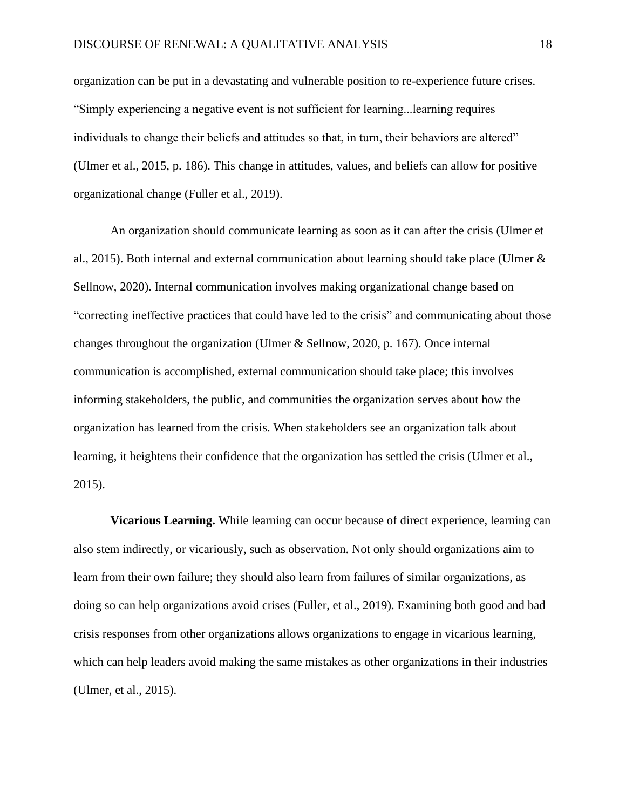organization can be put in a devastating and vulnerable position to re-experience future crises. "Simply experiencing a negative event is not sufficient for learning...learning requires individuals to change their beliefs and attitudes so that, in turn, their behaviors are altered" (Ulmer et al., 2015, p. 186). This change in attitudes, values, and beliefs can allow for positive organizational change (Fuller et al., 2019).

An organization should communicate learning as soon as it can after the crisis (Ulmer et al., 2015). Both internal and external communication about learning should take place (Ulmer & Sellnow, 2020). Internal communication involves making organizational change based on "correcting ineffective practices that could have led to the crisis" and communicating about those changes throughout the organization (Ulmer & Sellnow, 2020, p. 167). Once internal communication is accomplished, external communication should take place; this involves informing stakeholders, the public, and communities the organization serves about how the organization has learned from the crisis. When stakeholders see an organization talk about learning, it heightens their confidence that the organization has settled the crisis (Ulmer et al., 2015).

**Vicarious Learning.** While learning can occur because of direct experience, learning can also stem indirectly, or vicariously, such as observation. Not only should organizations aim to learn from their own failure; they should also learn from failures of similar organizations, as doing so can help organizations avoid crises (Fuller, et al., 2019). Examining both good and bad crisis responses from other organizations allows organizations to engage in vicarious learning, which can help leaders avoid making the same mistakes as other organizations in their industries (Ulmer, et al., 2015).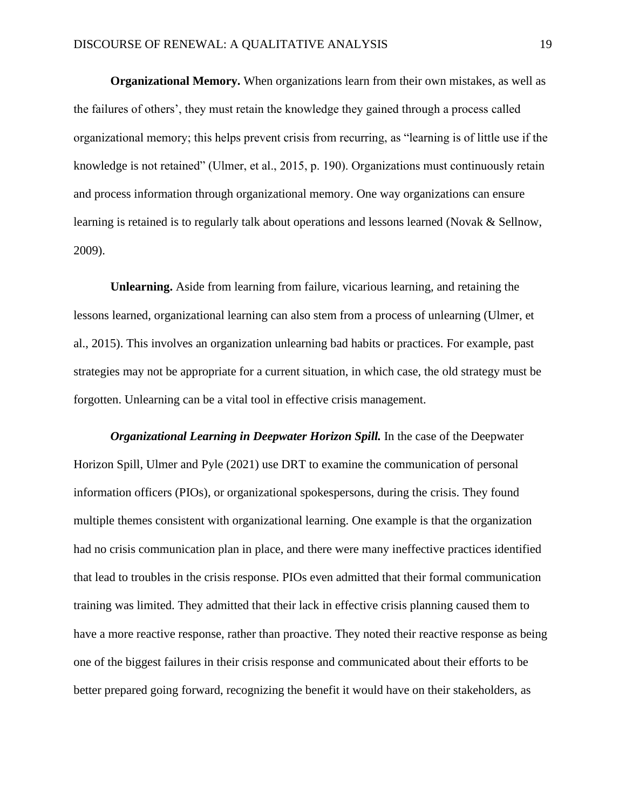**Organizational Memory.** When organizations learn from their own mistakes, as well as the failures of others', they must retain the knowledge they gained through a process called organizational memory; this helps prevent crisis from recurring, as "learning is of little use if the knowledge is not retained" (Ulmer, et al., 2015, p. 190). Organizations must continuously retain and process information through organizational memory. One way organizations can ensure learning is retained is to regularly talk about operations and lessons learned (Novak & Sellnow, 2009).

**Unlearning.** Aside from learning from failure, vicarious learning, and retaining the lessons learned, organizational learning can also stem from a process of unlearning (Ulmer, et al., 2015). This involves an organization unlearning bad habits or practices. For example, past strategies may not be appropriate for a current situation, in which case, the old strategy must be forgotten. Unlearning can be a vital tool in effective crisis management.

*Organizational Learning in Deepwater Horizon Spill.* In the case of the Deepwater Horizon Spill, Ulmer and Pyle (2021) use DRT to examine the communication of personal information officers (PIOs), or organizational spokespersons, during the crisis. They found multiple themes consistent with organizational learning. One example is that the organization had no crisis communication plan in place, and there were many ineffective practices identified that lead to troubles in the crisis response. PIOs even admitted that their formal communication training was limited. They admitted that their lack in effective crisis planning caused them to have a more reactive response, rather than proactive. They noted their reactive response as being one of the biggest failures in their crisis response and communicated about their efforts to be better prepared going forward, recognizing the benefit it would have on their stakeholders, as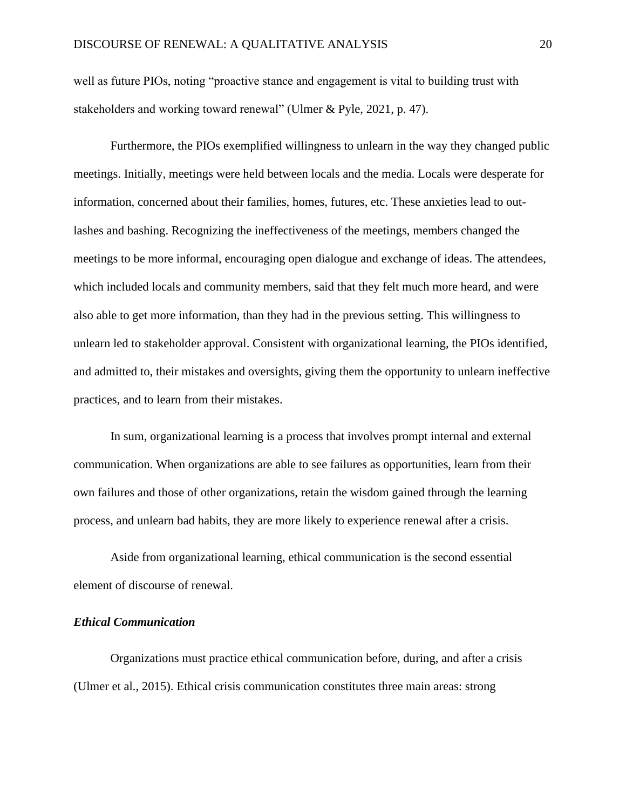well as future PIOs, noting "proactive stance and engagement is vital to building trust with stakeholders and working toward renewal" (Ulmer & Pyle, 2021, p. 47).

Furthermore, the PIOs exemplified willingness to unlearn in the way they changed public meetings. Initially, meetings were held between locals and the media. Locals were desperate for information, concerned about their families, homes, futures, etc. These anxieties lead to outlashes and bashing. Recognizing the ineffectiveness of the meetings, members changed the meetings to be more informal, encouraging open dialogue and exchange of ideas. The attendees, which included locals and community members, said that they felt much more heard, and were also able to get more information, than they had in the previous setting. This willingness to unlearn led to stakeholder approval. Consistent with organizational learning, the PIOs identified, and admitted to, their mistakes and oversights, giving them the opportunity to unlearn ineffective practices, and to learn from their mistakes.

In sum, organizational learning is a process that involves prompt internal and external communication. When organizations are able to see failures as opportunities, learn from their own failures and those of other organizations, retain the wisdom gained through the learning process, and unlearn bad habits, they are more likely to experience renewal after a crisis.

Aside from organizational learning, ethical communication is the second essential element of discourse of renewal.

## *Ethical Communication*

Organizations must practice ethical communication before, during, and after a crisis (Ulmer et al., 2015). Ethical crisis communication constitutes three main areas: strong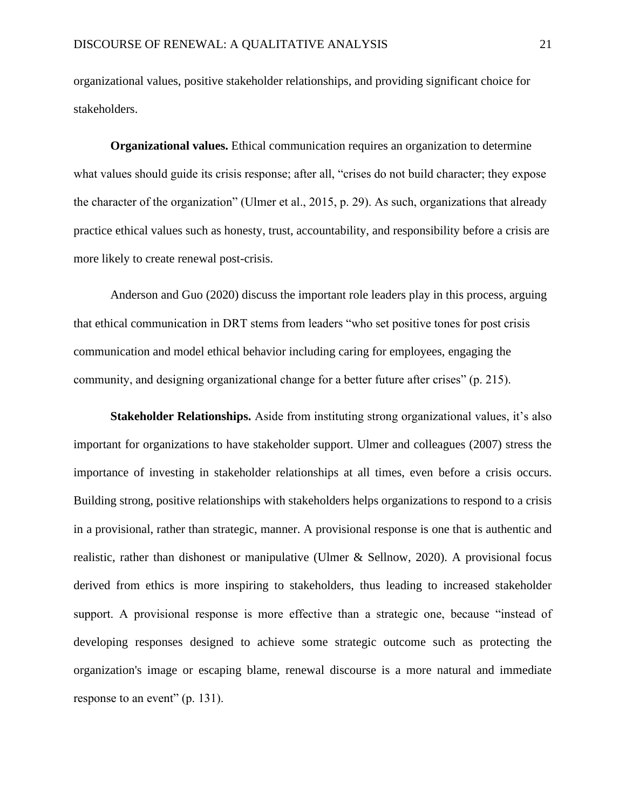organizational values, positive stakeholder relationships, and providing significant choice for stakeholders.

**Organizational values.** Ethical communication requires an organization to determine what values should guide its crisis response; after all, "crises do not build character; they expose the character of the organization" (Ulmer et al., 2015, p. 29). As such, organizations that already practice ethical values such as honesty, trust, accountability, and responsibility before a crisis are more likely to create renewal post-crisis.

Anderson and Guo (2020) discuss the important role leaders play in this process, arguing that ethical communication in DRT stems from leaders "who set positive tones for post crisis communication and model ethical behavior including caring for employees, engaging the community, and designing organizational change for a better future after crises" (p. 215).

**Stakeholder Relationships.** Aside from instituting strong organizational values, it's also important for organizations to have stakeholder support. Ulmer and colleagues (2007) stress the importance of investing in stakeholder relationships at all times, even before a crisis occurs. Building strong, positive relationships with stakeholders helps organizations to respond to a crisis in a provisional, rather than strategic, manner. A provisional response is one that is authentic and realistic, rather than dishonest or manipulative (Ulmer & Sellnow, 2020). A provisional focus derived from ethics is more inspiring to stakeholders, thus leading to increased stakeholder support. A provisional response is more effective than a strategic one, because "instead of developing responses designed to achieve some strategic outcome such as protecting the organization's image or escaping blame, renewal discourse is a more natural and immediate response to an event" (p. 131).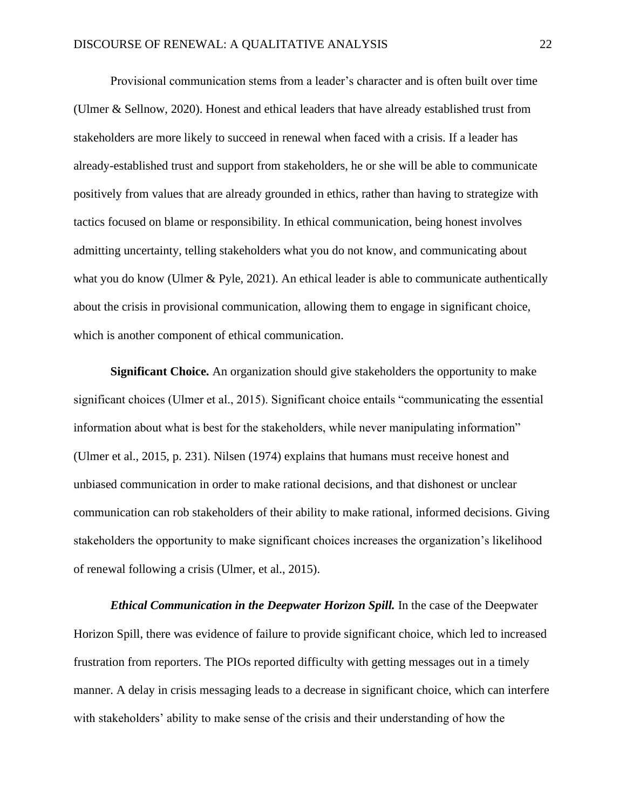Provisional communication stems from a leader's character and is often built over time (Ulmer & Sellnow, 2020). Honest and ethical leaders that have already established trust from stakeholders are more likely to succeed in renewal when faced with a crisis. If a leader has already-established trust and support from stakeholders, he or she will be able to communicate positively from values that are already grounded in ethics, rather than having to strategize with tactics focused on blame or responsibility. In ethical communication, being honest involves admitting uncertainty, telling stakeholders what you do not know, and communicating about what you do know (Ulmer & Pyle, 2021). An ethical leader is able to communicate authentically about the crisis in provisional communication, allowing them to engage in significant choice, which is another component of ethical communication.

**Significant Choice.** An organization should give stakeholders the opportunity to make significant choices (Ulmer et al., 2015). Significant choice entails "communicating the essential information about what is best for the stakeholders, while never manipulating information" (Ulmer et al., 2015, p. 231). Nilsen (1974) explains that humans must receive honest and unbiased communication in order to make rational decisions, and that dishonest or unclear communication can rob stakeholders of their ability to make rational, informed decisions. Giving stakeholders the opportunity to make significant choices increases the organization's likelihood of renewal following a crisis (Ulmer, et al., 2015).

*Ethical Communication in the Deepwater Horizon Spill.* In the case of the Deepwater Horizon Spill, there was evidence of failure to provide significant choice, which led to increased frustration from reporters. The PIOs reported difficulty with getting messages out in a timely manner. A delay in crisis messaging leads to a decrease in significant choice, which can interfere with stakeholders' ability to make sense of the crisis and their understanding of how the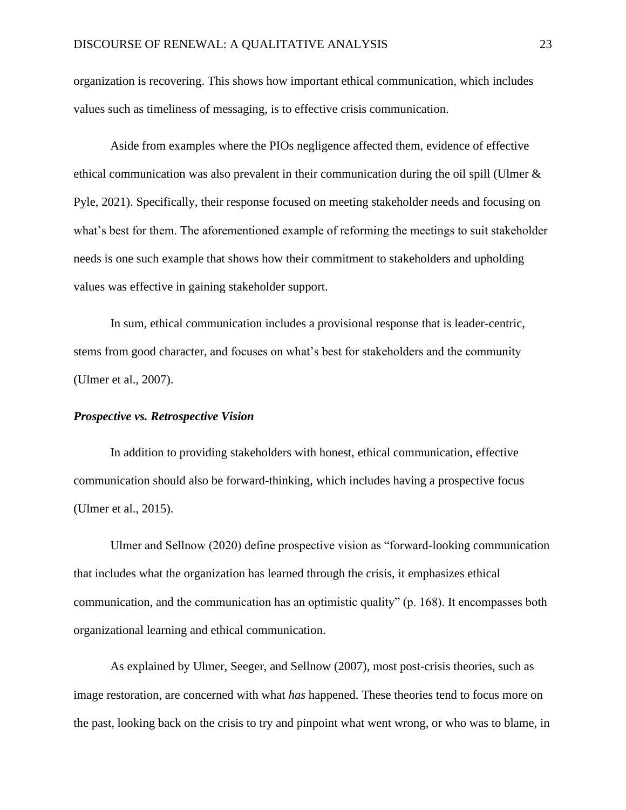organization is recovering. This shows how important ethical communication, which includes values such as timeliness of messaging, is to effective crisis communication.

Aside from examples where the PIOs negligence affected them, evidence of effective ethical communication was also prevalent in their communication during the oil spill (Ulmer & Pyle, 2021). Specifically, their response focused on meeting stakeholder needs and focusing on what's best for them. The aforementioned example of reforming the meetings to suit stakeholder needs is one such example that shows how their commitment to stakeholders and upholding values was effective in gaining stakeholder support.

In sum, ethical communication includes a provisional response that is leader-centric, stems from good character, and focuses on what's best for stakeholders and the community (Ulmer et al., 2007).

#### *Prospective vs. Retrospective Vision*

In addition to providing stakeholders with honest, ethical communication, effective communication should also be forward-thinking, which includes having a prospective focus (Ulmer et al., 2015).

Ulmer and Sellnow (2020) define prospective vision as "forward-looking communication that includes what the organization has learned through the crisis, it emphasizes ethical communication, and the communication has an optimistic quality" (p. 168). It encompasses both organizational learning and ethical communication.

As explained by Ulmer, Seeger, and Sellnow (2007), most post-crisis theories, such as image restoration, are concerned with what *has* happened. These theories tend to focus more on the past, looking back on the crisis to try and pinpoint what went wrong, or who was to blame, in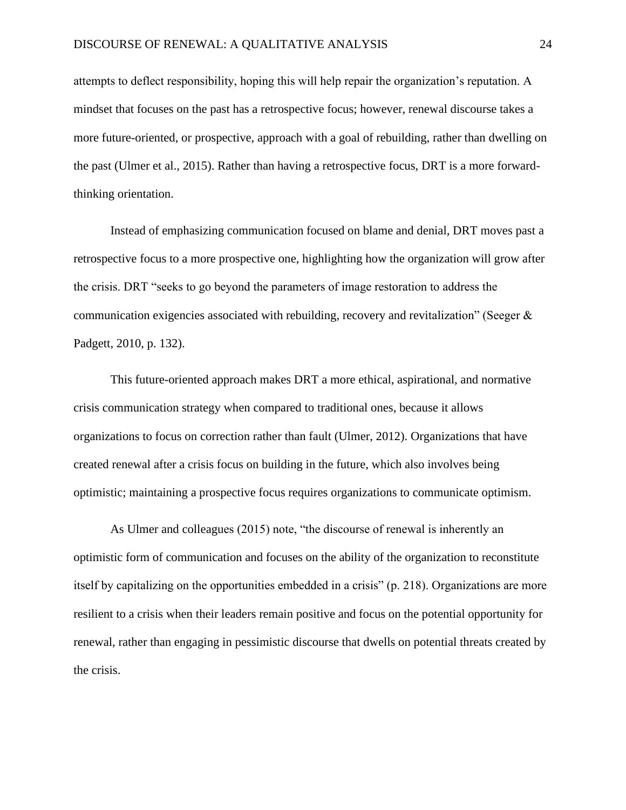attempts to deflect responsibility, hoping this will help repair the organization's reputation. A mindset that focuses on the past has a retrospective focus; however, renewal discourse takes a more future-oriented, or prospective, approach with a goal of rebuilding, rather than dwelling on the past (Ulmer et al., 2015). Rather than having a retrospective focus, DRT is a more forwardthinking orientation.

Instead of emphasizing communication focused on blame and denial, DRT moves past a retrospective focus to a more prospective one, highlighting how the organization will grow after the crisis. DRT "seeks to go beyond the parameters of image restoration to address the communication exigencies associated with rebuilding, recovery and revitalization" (Seeger & Padgett, 2010, p. 132).

This future-oriented approach makes DRT a more ethical, aspirational, and normative crisis communication strategy when compared to traditional ones, because it allows organizations to focus on correction rather than fault (Ulmer, 2012). Organizations that have created renewal after a crisis focus on building in the future, which also involves being optimistic; maintaining a prospective focus requires organizations to communicate optimism.

As Ulmer and colleagues (2015) note, "the discourse of renewal is inherently an optimistic form of communication and focuses on the ability of the organization to reconstitute itself by capitalizing on the opportunities embedded in a crisis" (p. 218). Organizations are more resilient to a crisis when their leaders remain positive and focus on the potential opportunity for renewal, rather than engaging in pessimistic discourse that dwells on potential threats created by the crisis.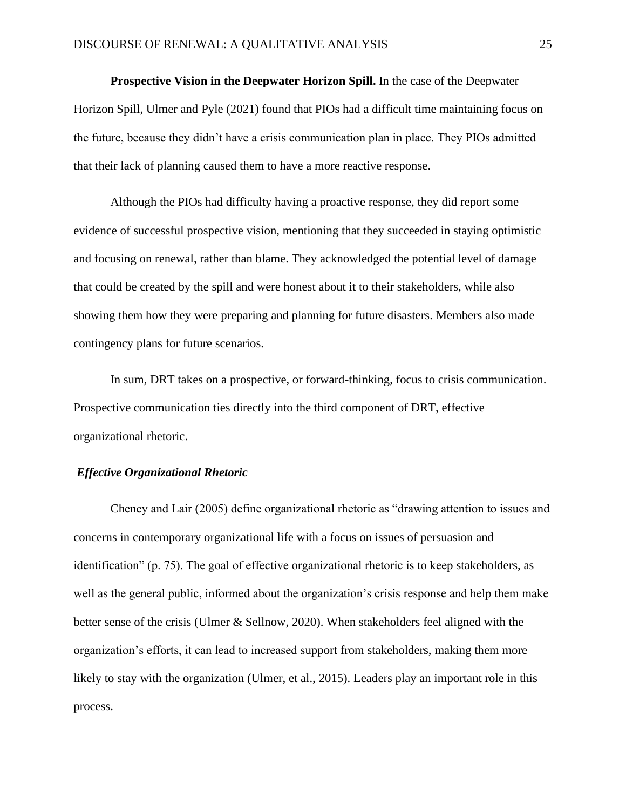**Prospective Vision in the Deepwater Horizon Spill.** In the case of the Deepwater Horizon Spill, Ulmer and Pyle (2021) found that PIOs had a difficult time maintaining focus on the future, because they didn't have a crisis communication plan in place. They PIOs admitted that their lack of planning caused them to have a more reactive response.

Although the PIOs had difficulty having a proactive response, they did report some evidence of successful prospective vision, mentioning that they succeeded in staying optimistic and focusing on renewal, rather than blame. They acknowledged the potential level of damage that could be created by the spill and were honest about it to their stakeholders, while also showing them how they were preparing and planning for future disasters. Members also made contingency plans for future scenarios.

In sum, DRT takes on a prospective, or forward-thinking, focus to crisis communication. Prospective communication ties directly into the third component of DRT, effective organizational rhetoric.

## *Effective Organizational Rhetoric*

Cheney and Lair (2005) define organizational rhetoric as "drawing attention to issues and concerns in contemporary organizational life with a focus on issues of persuasion and identification" (p. 75). The goal of effective organizational rhetoric is to keep stakeholders, as well as the general public, informed about the organization's crisis response and help them make better sense of the crisis (Ulmer & Sellnow, 2020). When stakeholders feel aligned with the organization's efforts, it can lead to increased support from stakeholders, making them more likely to stay with the organization (Ulmer, et al., 2015). Leaders play an important role in this process.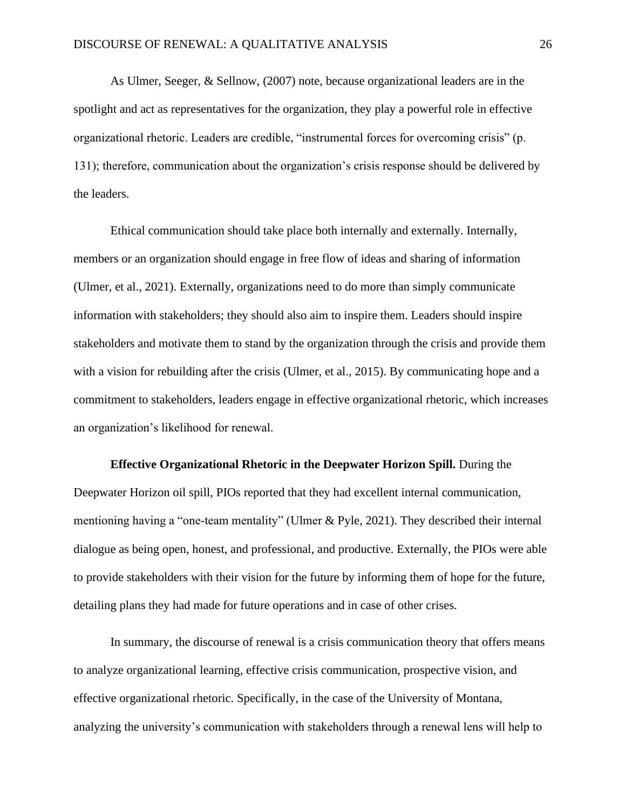As Ulmer, Seeger, & Sellnow, (2007) note, because organizational leaders are in the spotlight and act as representatives for the organization, they play a powerful role in effective organizational rhetoric. Leaders are credible, "instrumental forces for overcoming crisis" (p. 131); therefore, communication about the organization's crisis response should be delivered by the leaders.

Ethical communication should take place both internally and externally. Internally, members or an organization should engage in free flow of ideas and sharing of information (Ulmer, et al., 2021). Externally, organizations need to do more than simply communicate information with stakeholders; they should also aim to inspire them. Leaders should inspire stakeholders and motivate them to stand by the organization through the crisis and provide them with a vision for rebuilding after the crisis (Ulmer, et al., 2015). By communicating hope and a commitment to stakeholders, leaders engage in effective organizational rhetoric, which increases an organization's likelihood for renewal.

**Effective Organizational Rhetoric in the Deepwater Horizon Spill.** During the Deepwater Horizon oil spill, PIOs reported that they had excellent internal communication, mentioning having a "one-team mentality" (Ulmer & Pyle, 2021). They described their internal dialogue as being open, honest, and professional, and productive. Externally, the PIOs were able to provide stakeholders with their vision for the future by informing them of hope for the future, detailing plans they had made for future operations and in case of other crises.

In summary, the discourse of renewal is a crisis communication theory that offers means to analyze organizational learning, effective crisis communication, prospective vision, and effective organizational rhetoric. Specifically, in the case of the University of Montana, analyzing the university's communication with stakeholders through a renewal lens will help to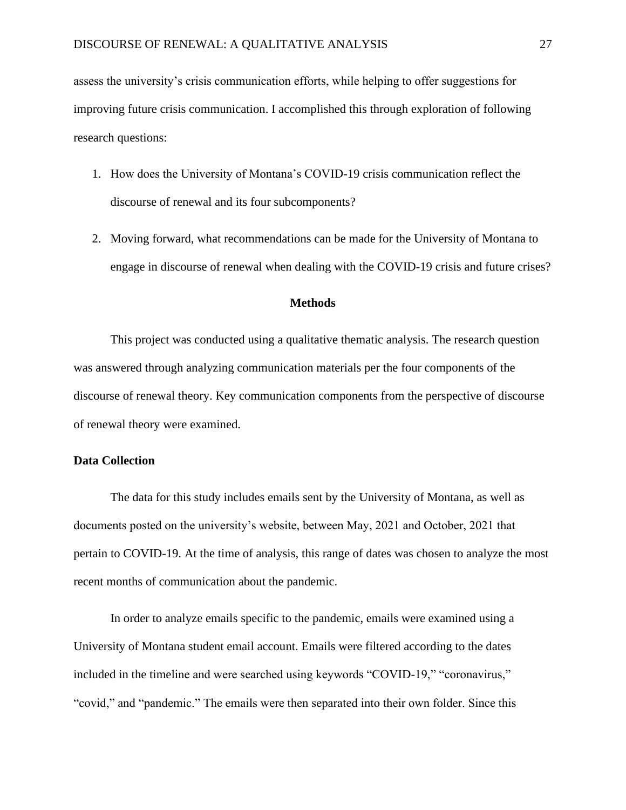assess the university's crisis communication efforts, while helping to offer suggestions for improving future crisis communication. I accomplished this through exploration of following research questions:

- 1. How does the University of Montana's COVID-19 crisis communication reflect the discourse of renewal and its four subcomponents?
- 2. Moving forward, what recommendations can be made for the University of Montana to engage in discourse of renewal when dealing with the COVID-19 crisis and future crises?

## **Methods**

This project was conducted using a qualitative thematic analysis. The research question was answered through analyzing communication materials per the four components of the discourse of renewal theory. Key communication components from the perspective of discourse of renewal theory were examined.

## **Data Collection**

The data for this study includes emails sent by the University of Montana, as well as documents posted on the university's website, between May, 2021 and October, 2021 that pertain to COVID-19. At the time of analysis, this range of dates was chosen to analyze the most recent months of communication about the pandemic.

In order to analyze emails specific to the pandemic, emails were examined using a University of Montana student email account. Emails were filtered according to the dates included in the timeline and were searched using keywords "COVID-19," "coronavirus," "covid," and "pandemic." The emails were then separated into their own folder. Since this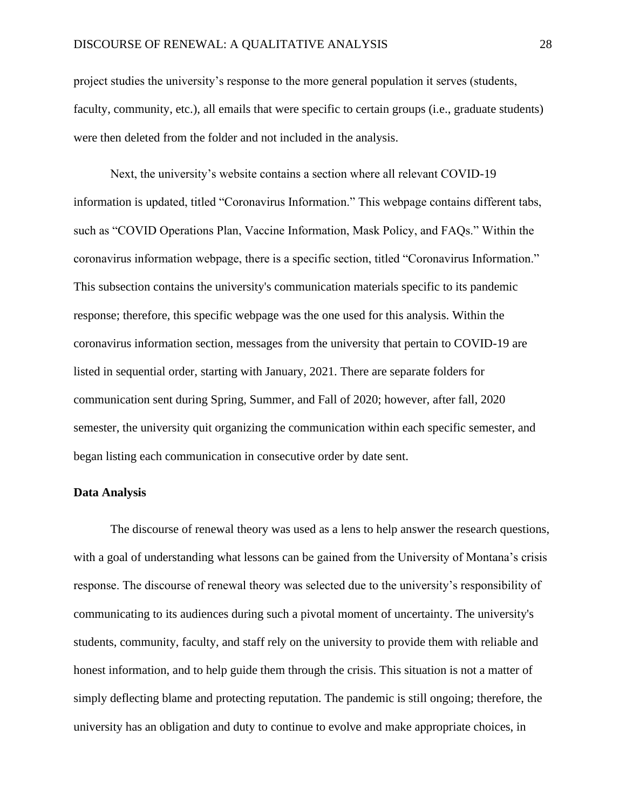project studies the university's response to the more general population it serves (students, faculty, community, etc.), all emails that were specific to certain groups (i.e., graduate students) were then deleted from the folder and not included in the analysis.

Next, the university's website contains a section where all relevant COVID-19 information is updated, titled "Coronavirus Information." This webpage contains different tabs, such as "COVID Operations Plan, Vaccine Information, Mask Policy, and FAQs." Within the coronavirus information webpage, there is a specific section, titled "Coronavirus Information." This subsection contains the university's communication materials specific to its pandemic response; therefore, this specific webpage was the one used for this analysis. Within the coronavirus information section, messages from the university that pertain to COVID-19 are listed in sequential order, starting with January, 2021. There are separate folders for communication sent during Spring, Summer, and Fall of 2020; however, after fall, 2020 semester, the university quit organizing the communication within each specific semester, and began listing each communication in consecutive order by date sent.

## **Data Analysis**

The discourse of renewal theory was used as a lens to help answer the research questions, with a goal of understanding what lessons can be gained from the University of Montana's crisis response. The discourse of renewal theory was selected due to the university's responsibility of communicating to its audiences during such a pivotal moment of uncertainty. The university's students, community, faculty, and staff rely on the university to provide them with reliable and honest information, and to help guide them through the crisis. This situation is not a matter of simply deflecting blame and protecting reputation. The pandemic is still ongoing; therefore, the university has an obligation and duty to continue to evolve and make appropriate choices, in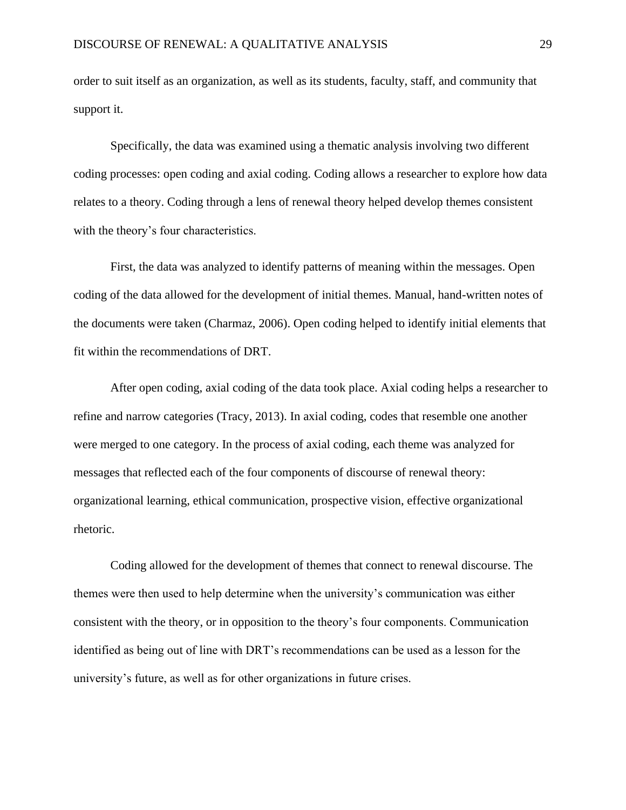order to suit itself as an organization, as well as its students, faculty, staff, and community that support it.

Specifically, the data was examined using a thematic analysis involving two different coding processes: open coding and axial coding. Coding allows a researcher to explore how data relates to a theory. Coding through a lens of renewal theory helped develop themes consistent with the theory's four characteristics.

First, the data was analyzed to identify patterns of meaning within the messages. Open coding of the data allowed for the development of initial themes. Manual, hand-written notes of the documents were taken (Charmaz, 2006). Open coding helped to identify initial elements that fit within the recommendations of DRT.

After open coding, axial coding of the data took place. Axial coding helps a researcher to refine and narrow categories (Tracy, 2013). In axial coding, codes that resemble one another were merged to one category. In the process of axial coding, each theme was analyzed for messages that reflected each of the four components of discourse of renewal theory: organizational learning, ethical communication, prospective vision, effective organizational rhetoric.

Coding allowed for the development of themes that connect to renewal discourse. The themes were then used to help determine when the university's communication was either consistent with the theory, or in opposition to the theory's four components. Communication identified as being out of line with DRT's recommendations can be used as a lesson for the university's future, as well as for other organizations in future crises.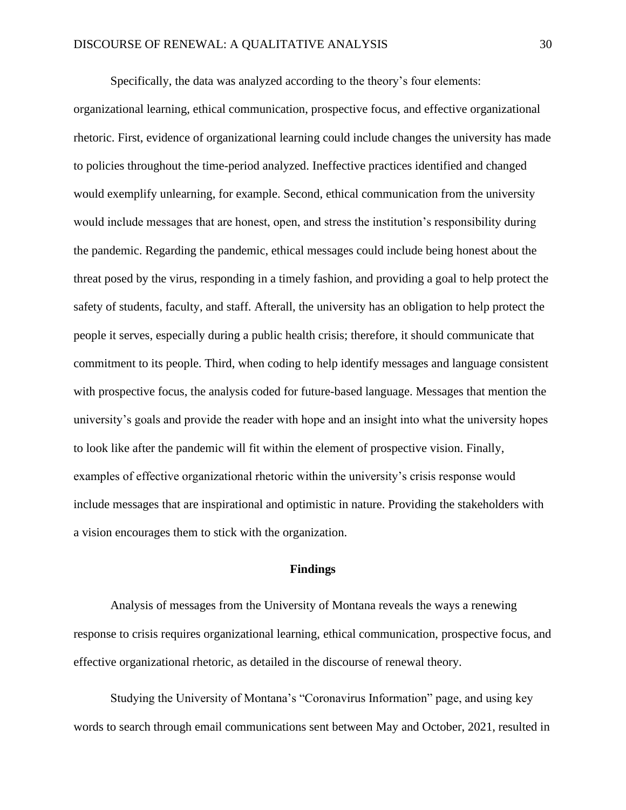Specifically, the data was analyzed according to the theory's four elements:

organizational learning, ethical communication, prospective focus, and effective organizational rhetoric. First, evidence of organizational learning could include changes the university has made to policies throughout the time-period analyzed. Ineffective practices identified and changed would exemplify unlearning, for example. Second, ethical communication from the university would include messages that are honest, open, and stress the institution's responsibility during the pandemic. Regarding the pandemic, ethical messages could include being honest about the threat posed by the virus, responding in a timely fashion, and providing a goal to help protect the safety of students, faculty, and staff. Afterall, the university has an obligation to help protect the people it serves, especially during a public health crisis; therefore, it should communicate that commitment to its people. Third, when coding to help identify messages and language consistent with prospective focus, the analysis coded for future-based language. Messages that mention the university's goals and provide the reader with hope and an insight into what the university hopes to look like after the pandemic will fit within the element of prospective vision. Finally, examples of effective organizational rhetoric within the university's crisis response would include messages that are inspirational and optimistic in nature. Providing the stakeholders with a vision encourages them to stick with the organization.

## **Findings**

Analysis of messages from the University of Montana reveals the ways a renewing response to crisis requires organizational learning, ethical communication, prospective focus, and effective organizational rhetoric, as detailed in the discourse of renewal theory.

Studying the University of Montana's "Coronavirus Information" page, and using key words to search through email communications sent between May and October, 2021, resulted in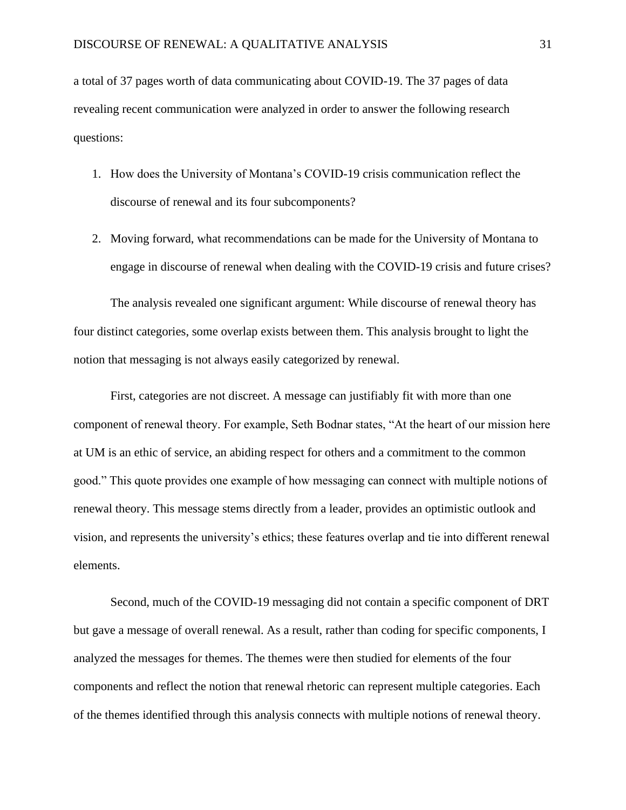a total of 37 pages worth of data communicating about COVID-19. The 37 pages of data revealing recent communication were analyzed in order to answer the following research questions:

- 1. How does the University of Montana's COVID-19 crisis communication reflect the discourse of renewal and its four subcomponents?
- 2. Moving forward, what recommendations can be made for the University of Montana to engage in discourse of renewal when dealing with the COVID-19 crisis and future crises?

The analysis revealed one significant argument: While discourse of renewal theory has four distinct categories, some overlap exists between them. This analysis brought to light the notion that messaging is not always easily categorized by renewal.

First, categories are not discreet. A message can justifiably fit with more than one component of renewal theory. For example, Seth Bodnar states, "At the heart of our mission here at UM is an ethic of service, an abiding respect for others and a commitment to the common good." This quote provides one example of how messaging can connect with multiple notions of renewal theory. This message stems directly from a leader, provides an optimistic outlook and vision, and represents the university's ethics; these features overlap and tie into different renewal elements.

Second, much of the COVID-19 messaging did not contain a specific component of DRT but gave a message of overall renewal. As a result, rather than coding for specific components, I analyzed the messages for themes. The themes were then studied for elements of the four components and reflect the notion that renewal rhetoric can represent multiple categories. Each of the themes identified through this analysis connects with multiple notions of renewal theory.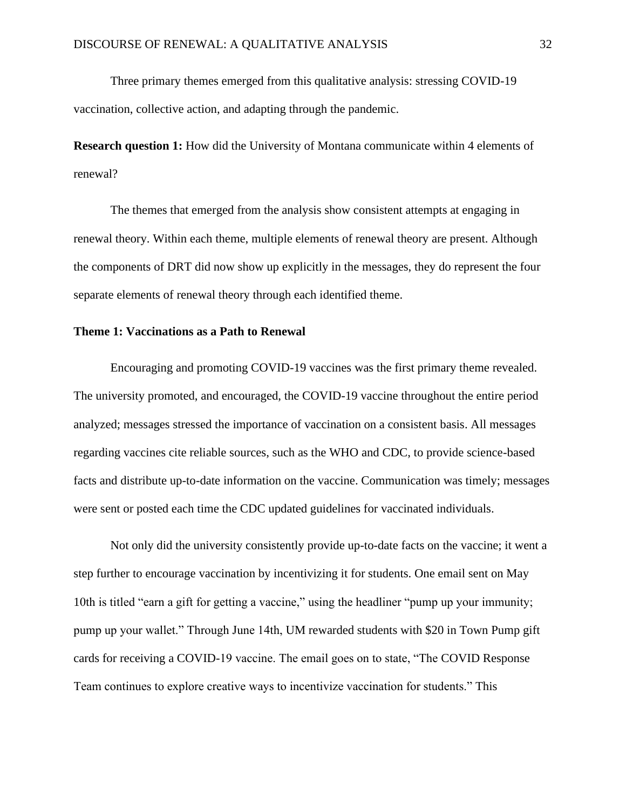Three primary themes emerged from this qualitative analysis: stressing COVID-19 vaccination, collective action, and adapting through the pandemic.

**Research question 1:** How did the University of Montana communicate within 4 elements of renewal?

The themes that emerged from the analysis show consistent attempts at engaging in renewal theory. Within each theme, multiple elements of renewal theory are present. Although the components of DRT did now show up explicitly in the messages, they do represent the four separate elements of renewal theory through each identified theme.

## **Theme 1: Vaccinations as a Path to Renewal**

Encouraging and promoting COVID-19 vaccines was the first primary theme revealed. The university promoted, and encouraged, the COVID-19 vaccine throughout the entire period analyzed; messages stressed the importance of vaccination on a consistent basis. All messages regarding vaccines cite reliable sources, such as the WHO and CDC, to provide science-based facts and distribute up-to-date information on the vaccine. Communication was timely; messages were sent or posted each time the CDC updated guidelines for vaccinated individuals.

Not only did the university consistently provide up-to-date facts on the vaccine; it went a step further to encourage vaccination by incentivizing it for students. One email sent on May 10th is titled "earn a gift for getting a vaccine," using the headliner "pump up your immunity; pump up your wallet." Through June 14th, UM rewarded students with \$20 in Town Pump gift cards for receiving a COVID-19 vaccine. The email goes on to state, "The COVID Response Team continues to explore creative ways to incentivize vaccination for students." This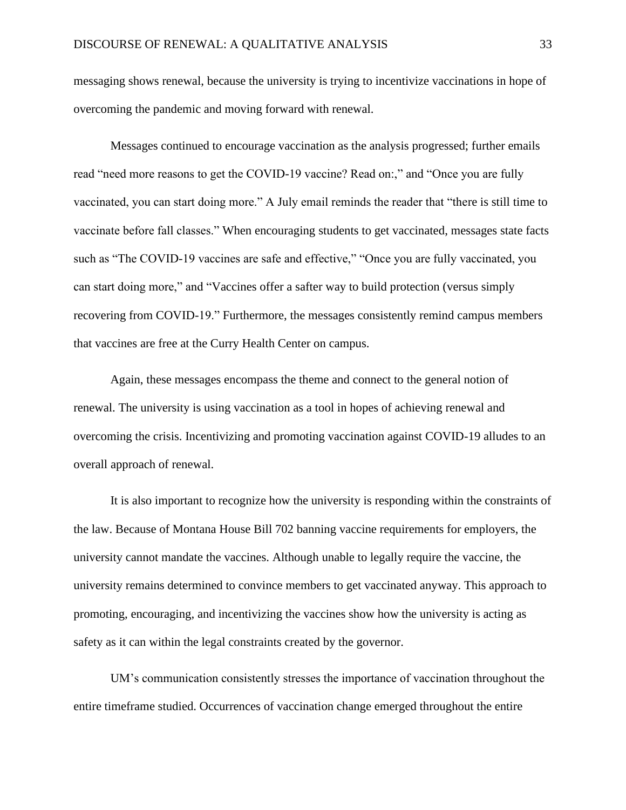messaging shows renewal, because the university is trying to incentivize vaccinations in hope of overcoming the pandemic and moving forward with renewal.

Messages continued to encourage vaccination as the analysis progressed; further emails read "need more reasons to get the COVID-19 vaccine? Read on:," and "Once you are fully vaccinated, you can start doing more." A July email reminds the reader that "there is still time to vaccinate before fall classes." When encouraging students to get vaccinated, messages state facts such as "The COVID-19 vaccines are safe and effective," "Once you are fully vaccinated, you can start doing more," and "Vaccines offer a safter way to build protection (versus simply recovering from COVID-19." Furthermore, the messages consistently remind campus members that vaccines are free at the Curry Health Center on campus.

Again, these messages encompass the theme and connect to the general notion of renewal. The university is using vaccination as a tool in hopes of achieving renewal and overcoming the crisis. Incentivizing and promoting vaccination against COVID-19 alludes to an overall approach of renewal.

It is also important to recognize how the university is responding within the constraints of the law. Because of Montana House Bill 702 banning vaccine requirements for employers, the university cannot mandate the vaccines. Although unable to legally require the vaccine, the university remains determined to convince members to get vaccinated anyway. This approach to promoting, encouraging, and incentivizing the vaccines show how the university is acting as safety as it can within the legal constraints created by the governor.

UM's communication consistently stresses the importance of vaccination throughout the entire timeframe studied. Occurrences of vaccination change emerged throughout the entire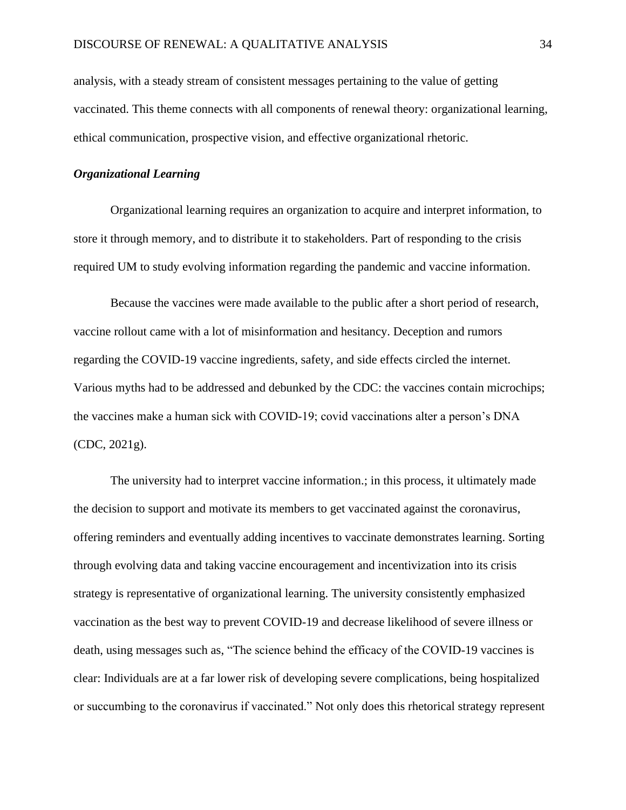analysis, with a steady stream of consistent messages pertaining to the value of getting vaccinated. This theme connects with all components of renewal theory: organizational learning, ethical communication, prospective vision, and effective organizational rhetoric.

## *Organizational Learning*

Organizational learning requires an organization to acquire and interpret information, to store it through memory, and to distribute it to stakeholders. Part of responding to the crisis required UM to study evolving information regarding the pandemic and vaccine information.

Because the vaccines were made available to the public after a short period of research, vaccine rollout came with a lot of misinformation and hesitancy. Deception and rumors regarding the COVID-19 vaccine ingredients, safety, and side effects circled the internet. Various myths had to be addressed and debunked by the CDC: the vaccines contain microchips; the vaccines make a human sick with COVID-19; covid vaccinations alter a person's DNA (CDC, 2021g).

The university had to interpret vaccine information.; in this process, it ultimately made the decision to support and motivate its members to get vaccinated against the coronavirus, offering reminders and eventually adding incentives to vaccinate demonstrates learning. Sorting through evolving data and taking vaccine encouragement and incentivization into its crisis strategy is representative of organizational learning. The university consistently emphasized vaccination as the best way to prevent COVID-19 and decrease likelihood of severe illness or death, using messages such as, "The science behind the efficacy of the COVID-19 vaccines is clear: Individuals are at a far lower risk of developing severe complications, being hospitalized or succumbing to the coronavirus if vaccinated." Not only does this rhetorical strategy represent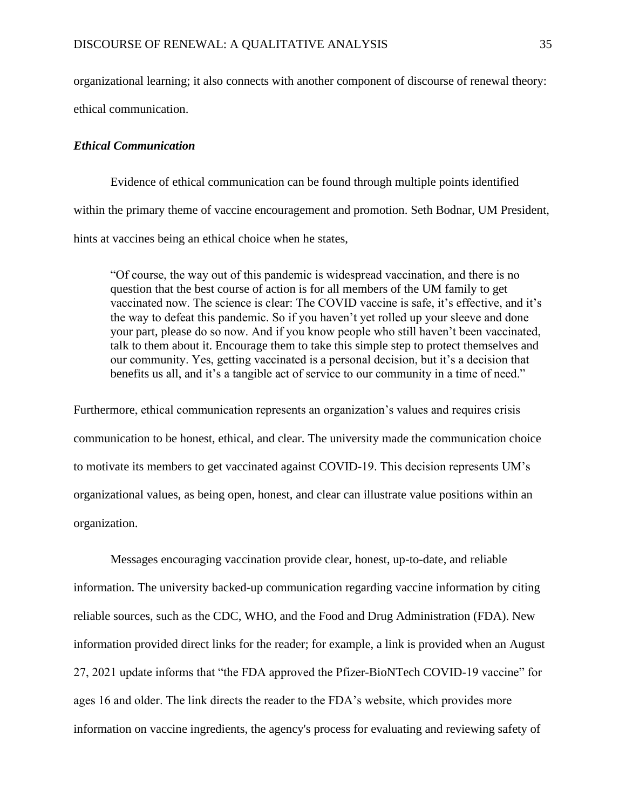organizational learning; it also connects with another component of discourse of renewal theory: ethical communication.

## *Ethical Communication*

Evidence of ethical communication can be found through multiple points identified within the primary theme of vaccine encouragement and promotion. Seth Bodnar, UM President, hints at vaccines being an ethical choice when he states,

"Of course, the way out of this pandemic is widespread vaccination, and there is no question that the best course of action is for all members of the UM family to get vaccinated now. The science is clear: The COVID vaccine is safe, it's effective, and it's the way to defeat this pandemic. So if you haven't yet rolled up your sleeve and done your part, please do so now. And if you know people who still haven't been vaccinated, talk to them about it. Encourage them to take this simple step to protect themselves and our community. Yes, getting vaccinated is a personal decision, but it's a decision that benefits us all, and it's a tangible act of service to our community in a time of need."

Furthermore, ethical communication represents an organization's values and requires crisis communication to be honest, ethical, and clear. The university made the communication choice to motivate its members to get vaccinated against COVID-19. This decision represents UM's organizational values, as being open, honest, and clear can illustrate value positions within an organization.

Messages encouraging vaccination provide clear, honest, up-to-date, and reliable information. The university backed-up communication regarding vaccine information by citing reliable sources, such as the CDC, WHO, and the Food and Drug Administration (FDA). New information provided direct links for the reader; for example, a link is provided when an August 27, 2021 update informs that "the FDA approved the Pfizer-BioNTech COVID-19 vaccine" for ages 16 and older. The link directs the reader to the FDA's website, which provides more information on vaccine ingredients, the agency's process for evaluating and reviewing safety of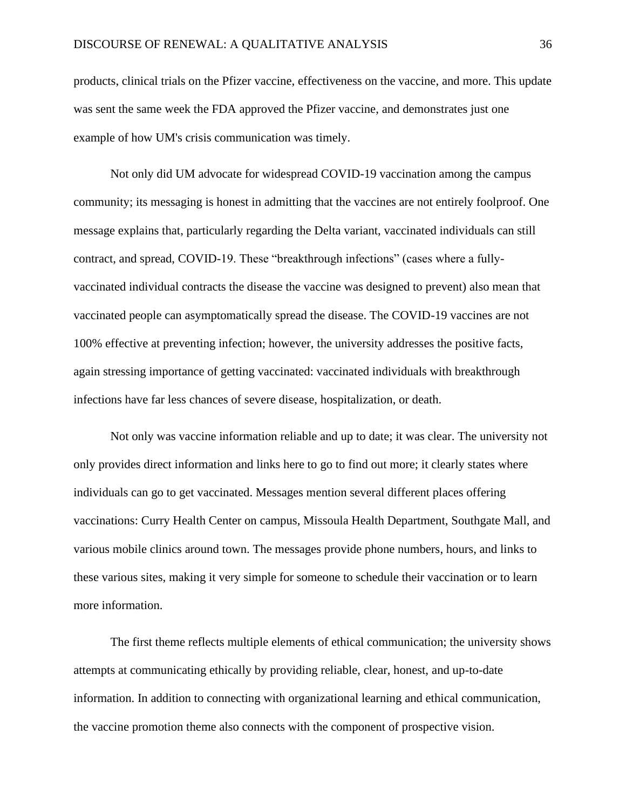products, clinical trials on the Pfizer vaccine, effectiveness on the vaccine, and more. This update was sent the same week the FDA approved the Pfizer vaccine, and demonstrates just one example of how UM's crisis communication was timely.

Not only did UM advocate for widespread COVID-19 vaccination among the campus community; its messaging is honest in admitting that the vaccines are not entirely foolproof. One message explains that, particularly regarding the Delta variant, vaccinated individuals can still contract, and spread, COVID-19. These "breakthrough infections" (cases where a fullyvaccinated individual contracts the disease the vaccine was designed to prevent) also mean that vaccinated people can asymptomatically spread the disease. The COVID-19 vaccines are not 100% effective at preventing infection; however, the university addresses the positive facts, again stressing importance of getting vaccinated: vaccinated individuals with breakthrough infections have far less chances of severe disease, hospitalization, or death.

Not only was vaccine information reliable and up to date; it was clear. The university not only provides direct information and links here to go to find out more; it clearly states where individuals can go to get vaccinated. Messages mention several different places offering vaccinations: Curry Health Center on campus, Missoula Health Department, Southgate Mall, and various mobile clinics around town. The messages provide phone numbers, hours, and links to these various sites, making it very simple for someone to schedule their vaccination or to learn more information.

The first theme reflects multiple elements of ethical communication; the university shows attempts at communicating ethically by providing reliable, clear, honest, and up-to-date information. In addition to connecting with organizational learning and ethical communication, the vaccine promotion theme also connects with the component of prospective vision.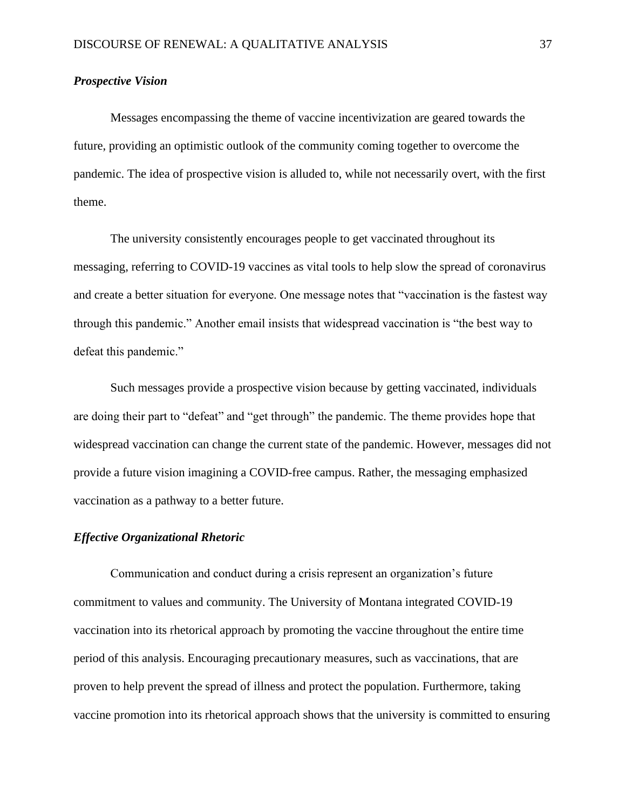## *Prospective Vision*

Messages encompassing the theme of vaccine incentivization are geared towards the future, providing an optimistic outlook of the community coming together to overcome the pandemic. The idea of prospective vision is alluded to, while not necessarily overt, with the first theme.

The university consistently encourages people to get vaccinated throughout its messaging, referring to COVID-19 vaccines as vital tools to help slow the spread of coronavirus and create a better situation for everyone. One message notes that "vaccination is the fastest way through this pandemic." Another email insists that widespread vaccination is "the best way to defeat this pandemic."

Such messages provide a prospective vision because by getting vaccinated, individuals are doing their part to "defeat" and "get through" the pandemic. The theme provides hope that widespread vaccination can change the current state of the pandemic. However, messages did not provide a future vision imagining a COVID-free campus. Rather, the messaging emphasized vaccination as a pathway to a better future.

## *Effective Organizational Rhetoric*

Communication and conduct during a crisis represent an organization's future commitment to values and community. The University of Montana integrated COVID-19 vaccination into its rhetorical approach by promoting the vaccine throughout the entire time period of this analysis. Encouraging precautionary measures, such as vaccinations, that are proven to help prevent the spread of illness and protect the population. Furthermore, taking vaccine promotion into its rhetorical approach shows that the university is committed to ensuring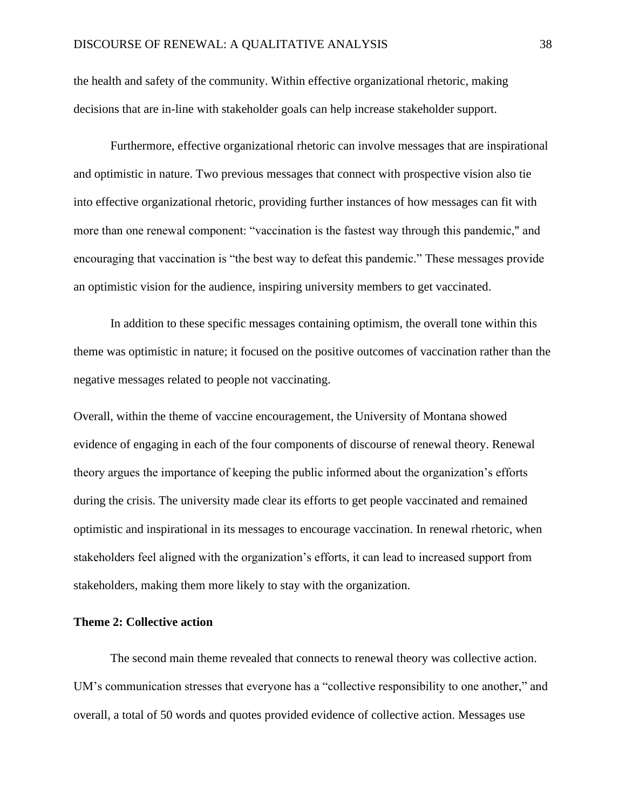the health and safety of the community. Within effective organizational rhetoric, making decisions that are in-line with stakeholder goals can help increase stakeholder support.

Furthermore, effective organizational rhetoric can involve messages that are inspirational and optimistic in nature. Two previous messages that connect with prospective vision also tie into effective organizational rhetoric, providing further instances of how messages can fit with more than one renewal component: "vaccination is the fastest way through this pandemic," and encouraging that vaccination is "the best way to defeat this pandemic." These messages provide an optimistic vision for the audience, inspiring university members to get vaccinated.

In addition to these specific messages containing optimism, the overall tone within this theme was optimistic in nature; it focused on the positive outcomes of vaccination rather than the negative messages related to people not vaccinating.

Overall, within the theme of vaccine encouragement, the University of Montana showed evidence of engaging in each of the four components of discourse of renewal theory. Renewal theory argues the importance of keeping the public informed about the organization's efforts during the crisis. The university made clear its efforts to get people vaccinated and remained optimistic and inspirational in its messages to encourage vaccination. In renewal rhetoric, when stakeholders feel aligned with the organization's efforts, it can lead to increased support from stakeholders, making them more likely to stay with the organization.

#### **Theme 2: Collective action**

The second main theme revealed that connects to renewal theory was collective action. UM's communication stresses that everyone has a "collective responsibility to one another," and overall, a total of 50 words and quotes provided evidence of collective action. Messages use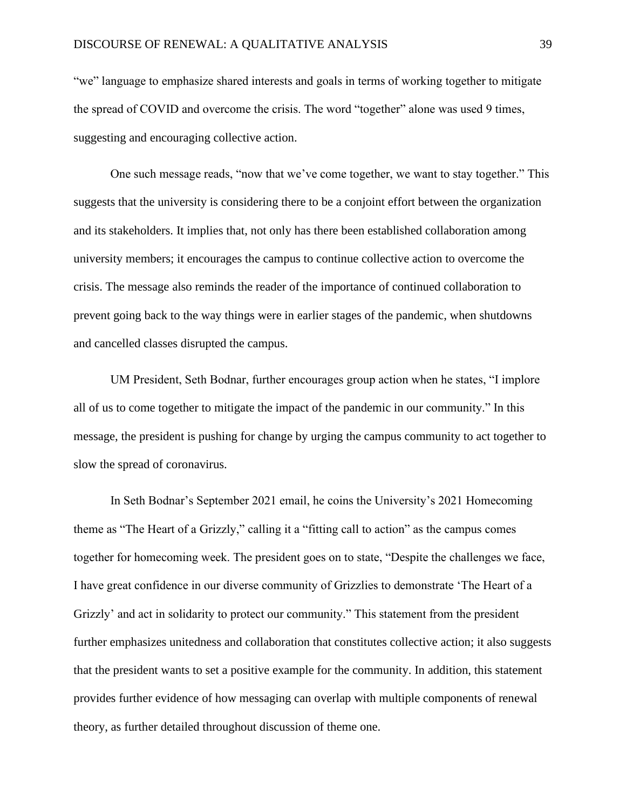"we" language to emphasize shared interests and goals in terms of working together to mitigate the spread of COVID and overcome the crisis. The word "together" alone was used 9 times, suggesting and encouraging collective action.

One such message reads, "now that we've come together, we want to stay together." This suggests that the university is considering there to be a conjoint effort between the organization and its stakeholders. It implies that, not only has there been established collaboration among university members; it encourages the campus to continue collective action to overcome the crisis. The message also reminds the reader of the importance of continued collaboration to prevent going back to the way things were in earlier stages of the pandemic, when shutdowns and cancelled classes disrupted the campus.

UM President, Seth Bodnar, further encourages group action when he states, "I implore all of us to come together to mitigate the impact of the pandemic in our community." In this message, the president is pushing for change by urging the campus community to act together to slow the spread of coronavirus.

In Seth Bodnar's September 2021 email, he coins the University's 2021 Homecoming theme as "The Heart of a Grizzly," calling it a "fitting call to action" as the campus comes together for homecoming week. The president goes on to state, "Despite the challenges we face, I have great confidence in our diverse community of Grizzlies to demonstrate 'The Heart of a Grizzly' and act in solidarity to protect our community." This statement from the president further emphasizes unitedness and collaboration that constitutes collective action; it also suggests that the president wants to set a positive example for the community. In addition, this statement provides further evidence of how messaging can overlap with multiple components of renewal theory, as further detailed throughout discussion of theme one.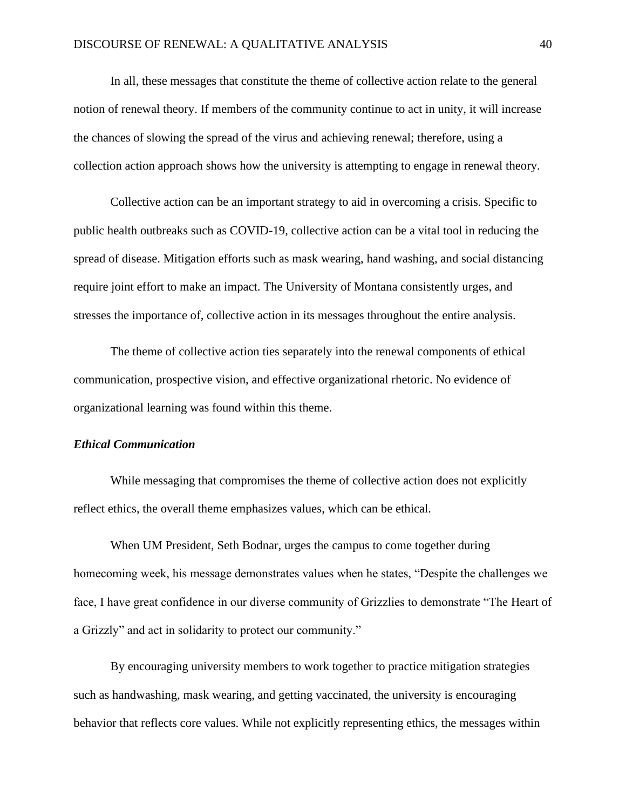In all, these messages that constitute the theme of collective action relate to the general notion of renewal theory. If members of the community continue to act in unity, it will increase the chances of slowing the spread of the virus and achieving renewal; therefore, using a collection action approach shows how the university is attempting to engage in renewal theory.

Collective action can be an important strategy to aid in overcoming a crisis. Specific to public health outbreaks such as COVID-19, collective action can be a vital tool in reducing the spread of disease. Mitigation efforts such as mask wearing, hand washing, and social distancing require joint effort to make an impact. The University of Montana consistently urges, and stresses the importance of, collective action in its messages throughout the entire analysis.

The theme of collective action ties separately into the renewal components of ethical communication, prospective vision, and effective organizational rhetoric. No evidence of organizational learning was found within this theme.

## *Ethical Communication*

While messaging that compromises the theme of collective action does not explicitly reflect ethics, the overall theme emphasizes values, which can be ethical.

When UM President, Seth Bodnar, urges the campus to come together during homecoming week, his message demonstrates values when he states, "Despite the challenges we face, I have great confidence in our diverse community of Grizzlies to demonstrate "The Heart of a Grizzly" and act in solidarity to protect our community."

By encouraging university members to work together to practice mitigation strategies such as handwashing, mask wearing, and getting vaccinated, the university is encouraging behavior that reflects core values. While not explicitly representing ethics, the messages within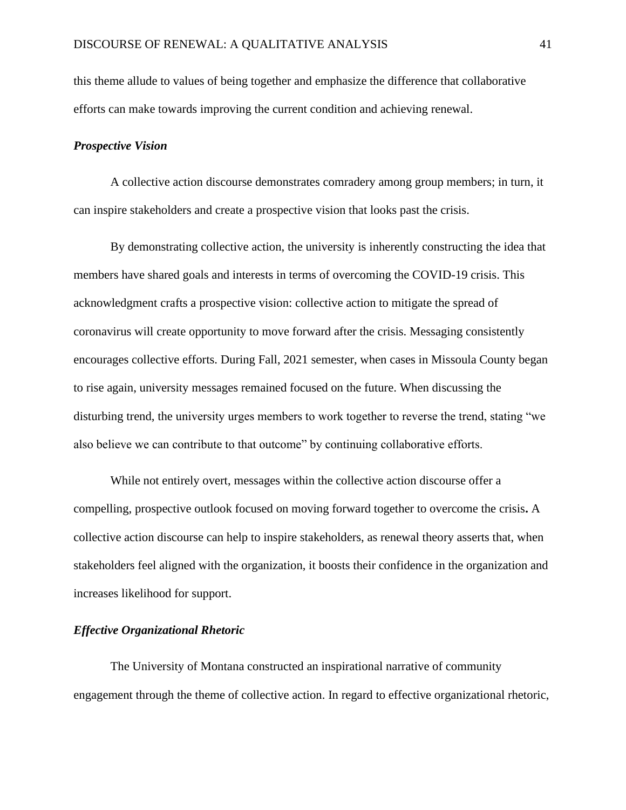this theme allude to values of being together and emphasize the difference that collaborative efforts can make towards improving the current condition and achieving renewal.

## *Prospective Vision*

A collective action discourse demonstrates comradery among group members; in turn, it can inspire stakeholders and create a prospective vision that looks past the crisis.

By demonstrating collective action, the university is inherently constructing the idea that members have shared goals and interests in terms of overcoming the COVID-19 crisis. This acknowledgment crafts a prospective vision: collective action to mitigate the spread of coronavirus will create opportunity to move forward after the crisis. Messaging consistently encourages collective efforts. During Fall, 2021 semester, when cases in Missoula County began to rise again, university messages remained focused on the future. When discussing the disturbing trend, the university urges members to work together to reverse the trend, stating "we also believe we can contribute to that outcome" by continuing collaborative efforts.

While not entirely overt, messages within the collective action discourse offer a compelling, prospective outlook focused on moving forward together to overcome the crisis**.** A collective action discourse can help to inspire stakeholders, as renewal theory asserts that, when stakeholders feel aligned with the organization, it boosts their confidence in the organization and increases likelihood for support.

## *Effective Organizational Rhetoric*

The University of Montana constructed an inspirational narrative of community engagement through the theme of collective action. In regard to effective organizational rhetoric,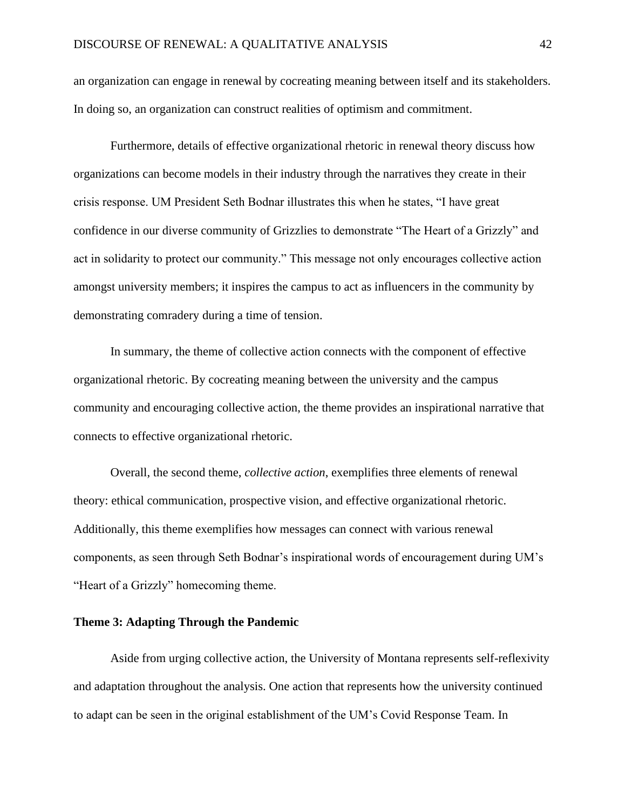an organization can engage in renewal by cocreating meaning between itself and its stakeholders. In doing so, an organization can construct realities of optimism and commitment.

Furthermore, details of effective organizational rhetoric in renewal theory discuss how organizations can become models in their industry through the narratives they create in their crisis response. UM President Seth Bodnar illustrates this when he states, "I have great confidence in our diverse community of Grizzlies to demonstrate "The Heart of a Grizzly" and act in solidarity to protect our community." This message not only encourages collective action amongst university members; it inspires the campus to act as influencers in the community by demonstrating comradery during a time of tension.

In summary, the theme of collective action connects with the component of effective organizational rhetoric. By cocreating meaning between the university and the campus community and encouraging collective action, the theme provides an inspirational narrative that connects to effective organizational rhetoric.

Overall, the second theme, *collective action*, exemplifies three elements of renewal theory: ethical communication, prospective vision, and effective organizational rhetoric. Additionally, this theme exemplifies how messages can connect with various renewal components, as seen through Seth Bodnar's inspirational words of encouragement during UM's "Heart of a Grizzly" homecoming theme.

## **Theme 3: Adapting Through the Pandemic**

Aside from urging collective action, the University of Montana represents self-reflexivity and adaptation throughout the analysis. One action that represents how the university continued to adapt can be seen in the original establishment of the UM's Covid Response Team. In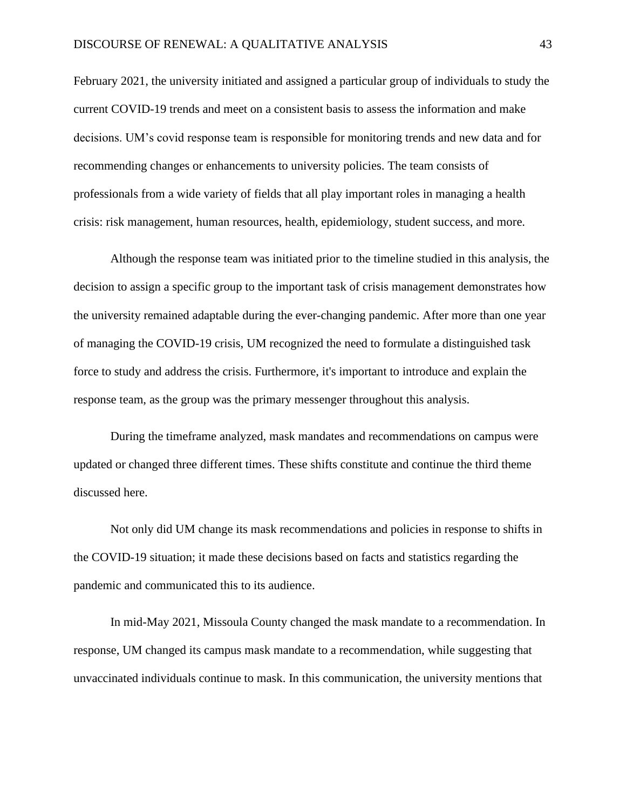February 2021, the university initiated and assigned a particular group of individuals to study the current COVID-19 trends and meet on a consistent basis to assess the information and make decisions. UM's covid response team is responsible for monitoring trends and new data and for recommending changes or enhancements to university policies. The team consists of professionals from a wide variety of fields that all play important roles in managing a health crisis: risk management, human resources, health, epidemiology, student success, and more.

Although the response team was initiated prior to the timeline studied in this analysis, the decision to assign a specific group to the important task of crisis management demonstrates how the university remained adaptable during the ever-changing pandemic. After more than one year of managing the COVID-19 crisis, UM recognized the need to formulate a distinguished task force to study and address the crisis. Furthermore, it's important to introduce and explain the response team, as the group was the primary messenger throughout this analysis.

During the timeframe analyzed, mask mandates and recommendations on campus were updated or changed three different times. These shifts constitute and continue the third theme discussed here.

Not only did UM change its mask recommendations and policies in response to shifts in the COVID-19 situation; it made these decisions based on facts and statistics regarding the pandemic and communicated this to its audience.

In mid-May 2021, Missoula County changed the mask mandate to a recommendation. In response, UM changed its campus mask mandate to a recommendation, while suggesting that unvaccinated individuals continue to mask. In this communication, the university mentions that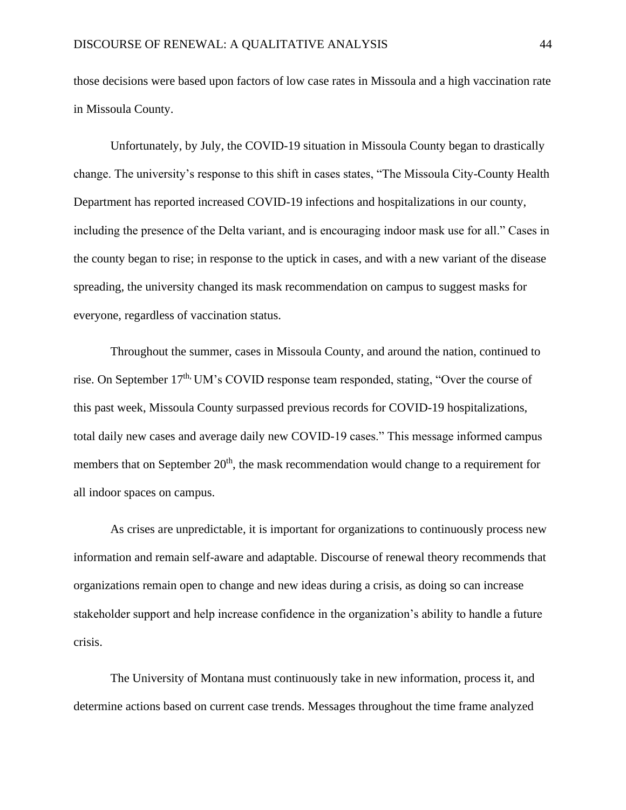those decisions were based upon factors of low case rates in Missoula and a high vaccination rate in Missoula County.

Unfortunately, by July, the COVID-19 situation in Missoula County began to drastically change. The university's response to this shift in cases states, "The Missoula City-County Health Department has reported increased COVID-19 infections and hospitalizations in our county, including the presence of the Delta variant, and is encouraging indoor mask use for all." Cases in the county began to rise; in response to the uptick in cases, and with a new variant of the disease spreading, the university changed its mask recommendation on campus to suggest masks for everyone, regardless of vaccination status.

Throughout the summer, cases in Missoula County, and around the nation, continued to rise. On September 17<sup>th,</sup> UM's COVID response team responded, stating, "Over the course of this past week, Missoula County surpassed previous records for COVID-19 hospitalizations, total daily new cases and average daily new COVID-19 cases." This message informed campus members that on September 20<sup>th</sup>, the mask recommendation would change to a requirement for all indoor spaces on campus.

As crises are unpredictable, it is important for organizations to continuously process new information and remain self-aware and adaptable. Discourse of renewal theory recommends that organizations remain open to change and new ideas during a crisis, as doing so can increase stakeholder support and help increase confidence in the organization's ability to handle a future crisis.

The University of Montana must continuously take in new information, process it, and determine actions based on current case trends. Messages throughout the time frame analyzed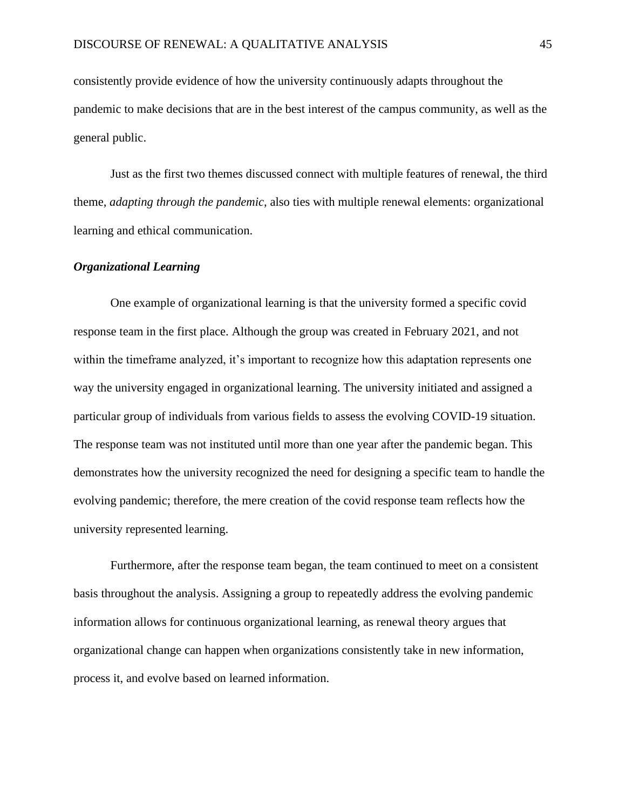consistently provide evidence of how the university continuously adapts throughout the pandemic to make decisions that are in the best interest of the campus community, as well as the general public.

Just as the first two themes discussed connect with multiple features of renewal, the third theme, *adapting through the pandemic*, also ties with multiple renewal elements: organizational learning and ethical communication.

#### *Organizational Learning*

One example of organizational learning is that the university formed a specific covid response team in the first place. Although the group was created in February 2021, and not within the timeframe analyzed, it's important to recognize how this adaptation represents one way the university engaged in organizational learning. The university initiated and assigned a particular group of individuals from various fields to assess the evolving COVID-19 situation. The response team was not instituted until more than one year after the pandemic began. This demonstrates how the university recognized the need for designing a specific team to handle the evolving pandemic; therefore, the mere creation of the covid response team reflects how the university represented learning.

Furthermore, after the response team began, the team continued to meet on a consistent basis throughout the analysis. Assigning a group to repeatedly address the evolving pandemic information allows for continuous organizational learning, as renewal theory argues that organizational change can happen when organizations consistently take in new information, process it, and evolve based on learned information.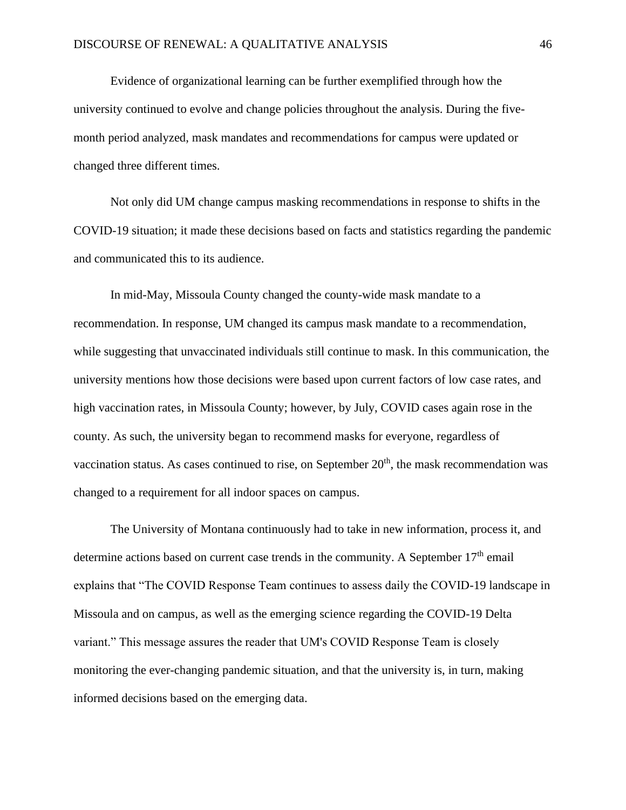Evidence of organizational learning can be further exemplified through how the university continued to evolve and change policies throughout the analysis. During the fivemonth period analyzed, mask mandates and recommendations for campus were updated or changed three different times.

Not only did UM change campus masking recommendations in response to shifts in the COVID-19 situation; it made these decisions based on facts and statistics regarding the pandemic and communicated this to its audience.

In mid-May, Missoula County changed the county-wide mask mandate to a recommendation. In response, UM changed its campus mask mandate to a recommendation, while suggesting that unvaccinated individuals still continue to mask. In this communication, the university mentions how those decisions were based upon current factors of low case rates, and high vaccination rates, in Missoula County; however, by July, COVID cases again rose in the county. As such, the university began to recommend masks for everyone, regardless of vaccination status. As cases continued to rise, on September  $20<sup>th</sup>$ , the mask recommendation was changed to a requirement for all indoor spaces on campus.

The University of Montana continuously had to take in new information, process it, and determine actions based on current case trends in the community. A September  $17<sup>th</sup>$  email explains that "The COVID Response Team continues to assess daily the COVID-19 landscape in Missoula and on campus, as well as the emerging science regarding the COVID-19 Delta variant." This message assures the reader that UM's COVID Response Team is closely monitoring the ever-changing pandemic situation, and that the university is, in turn, making informed decisions based on the emerging data.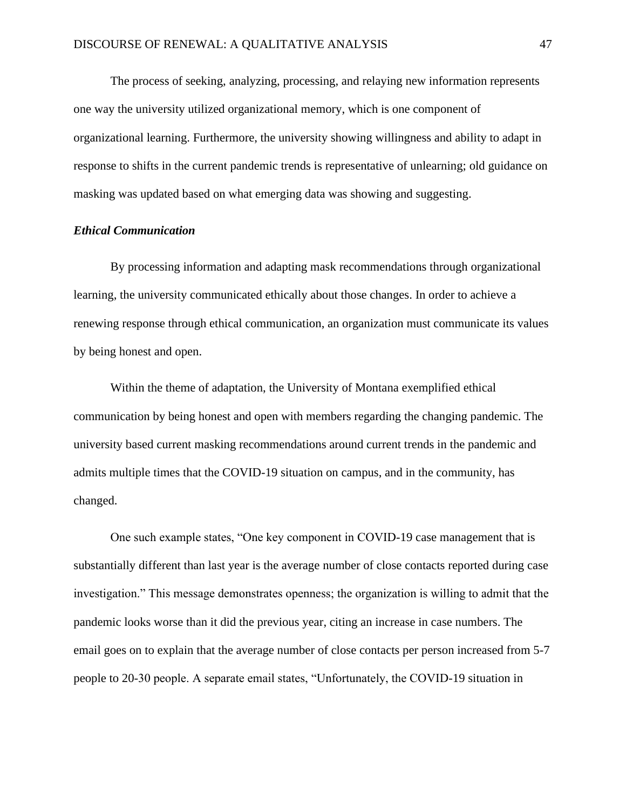The process of seeking, analyzing, processing, and relaying new information represents one way the university utilized organizational memory, which is one component of organizational learning. Furthermore, the university showing willingness and ability to adapt in response to shifts in the current pandemic trends is representative of unlearning; old guidance on masking was updated based on what emerging data was showing and suggesting.

## *Ethical Communication*

By processing information and adapting mask recommendations through organizational learning, the university communicated ethically about those changes. In order to achieve a renewing response through ethical communication, an organization must communicate its values by being honest and open.

Within the theme of adaptation, the University of Montana exemplified ethical communication by being honest and open with members regarding the changing pandemic. The university based current masking recommendations around current trends in the pandemic and admits multiple times that the COVID-19 situation on campus, and in the community, has changed.

One such example states, "One key component in COVID-19 case management that is substantially different than last year is the average number of close contacts reported during case investigation." This message demonstrates openness; the organization is willing to admit that the pandemic looks worse than it did the previous year, citing an increase in case numbers. The email goes on to explain that the average number of close contacts per person increased from 5-7 people to 20-30 people. A separate email states, "Unfortunately, the COVID-19 situation in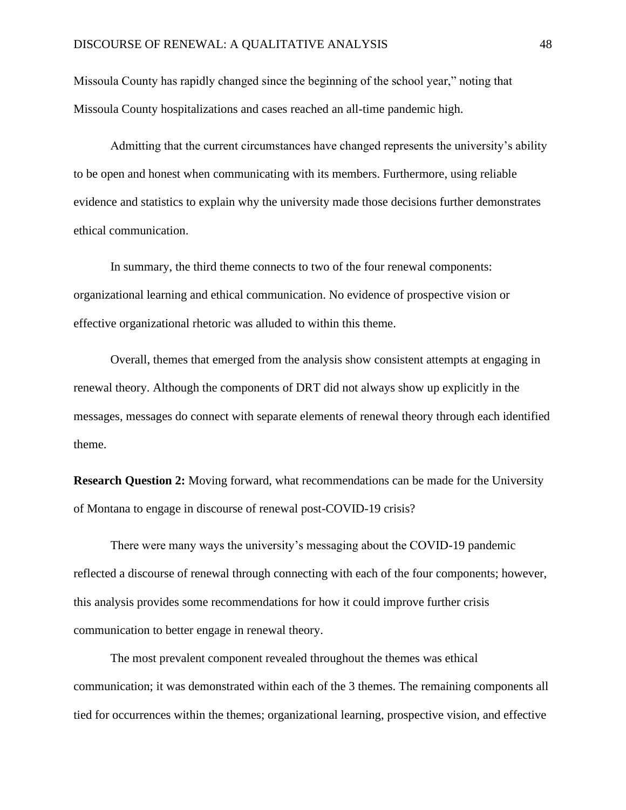Missoula County has rapidly changed since the beginning of the school year," noting that Missoula County hospitalizations and cases reached an all-time pandemic high.

Admitting that the current circumstances have changed represents the university's ability to be open and honest when communicating with its members. Furthermore, using reliable evidence and statistics to explain why the university made those decisions further demonstrates ethical communication.

In summary, the third theme connects to two of the four renewal components: organizational learning and ethical communication. No evidence of prospective vision or effective organizational rhetoric was alluded to within this theme.

Overall, themes that emerged from the analysis show consistent attempts at engaging in renewal theory. Although the components of DRT did not always show up explicitly in the messages, messages do connect with separate elements of renewal theory through each identified theme.

**Research Question 2:** Moving forward, what recommendations can be made for the University of Montana to engage in discourse of renewal post-COVID-19 crisis?

There were many ways the university's messaging about the COVID-19 pandemic reflected a discourse of renewal through connecting with each of the four components; however, this analysis provides some recommendations for how it could improve further crisis communication to better engage in renewal theory.

The most prevalent component revealed throughout the themes was ethical communication; it was demonstrated within each of the 3 themes. The remaining components all tied for occurrences within the themes; organizational learning, prospective vision, and effective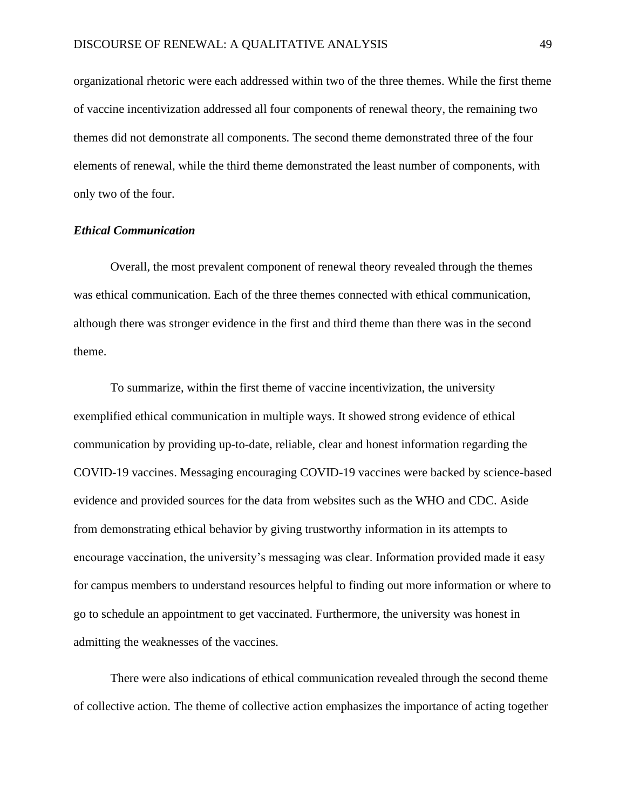organizational rhetoric were each addressed within two of the three themes. While the first theme of vaccine incentivization addressed all four components of renewal theory, the remaining two themes did not demonstrate all components. The second theme demonstrated three of the four elements of renewal, while the third theme demonstrated the least number of components, with only two of the four.

## *Ethical Communication*

Overall, the most prevalent component of renewal theory revealed through the themes was ethical communication. Each of the three themes connected with ethical communication, although there was stronger evidence in the first and third theme than there was in the second theme.

To summarize, within the first theme of vaccine incentivization, the university exemplified ethical communication in multiple ways. It showed strong evidence of ethical communication by providing up-to-date, reliable, clear and honest information regarding the COVID-19 vaccines. Messaging encouraging COVID-19 vaccines were backed by science-based evidence and provided sources for the data from websites such as the WHO and CDC. Aside from demonstrating ethical behavior by giving trustworthy information in its attempts to encourage vaccination, the university's messaging was clear. Information provided made it easy for campus members to understand resources helpful to finding out more information or where to go to schedule an appointment to get vaccinated. Furthermore, the university was honest in admitting the weaknesses of the vaccines.

There were also indications of ethical communication revealed through the second theme of collective action. The theme of collective action emphasizes the importance of acting together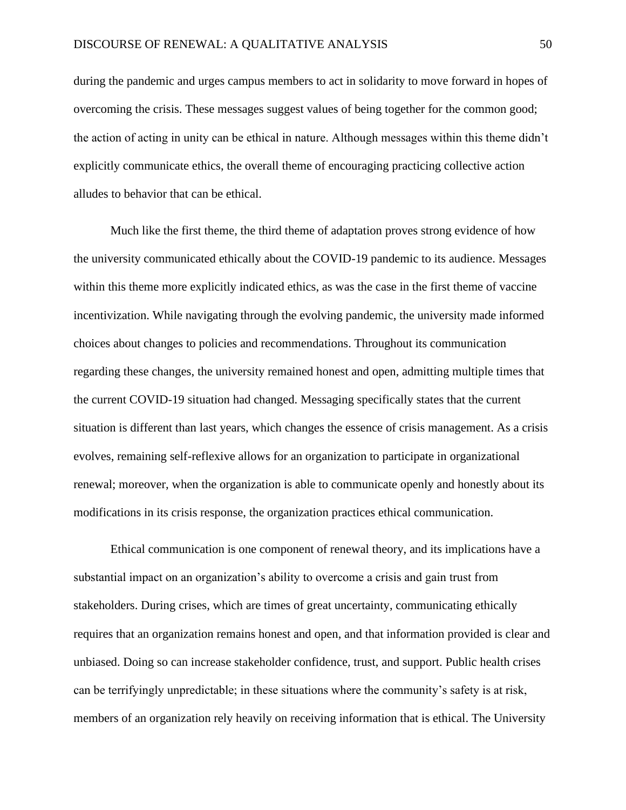during the pandemic and urges campus members to act in solidarity to move forward in hopes of overcoming the crisis. These messages suggest values of being together for the common good; the action of acting in unity can be ethical in nature. Although messages within this theme didn't explicitly communicate ethics, the overall theme of encouraging practicing collective action alludes to behavior that can be ethical.

Much like the first theme, the third theme of adaptation proves strong evidence of how the university communicated ethically about the COVID-19 pandemic to its audience. Messages within this theme more explicitly indicated ethics, as was the case in the first theme of vaccine incentivization. While navigating through the evolving pandemic, the university made informed choices about changes to policies and recommendations. Throughout its communication regarding these changes, the university remained honest and open, admitting multiple times that the current COVID-19 situation had changed. Messaging specifically states that the current situation is different than last years, which changes the essence of crisis management. As a crisis evolves, remaining self-reflexive allows for an organization to participate in organizational renewal; moreover, when the organization is able to communicate openly and honestly about its modifications in its crisis response, the organization practices ethical communication.

Ethical communication is one component of renewal theory, and its implications have a substantial impact on an organization's ability to overcome a crisis and gain trust from stakeholders. During crises, which are times of great uncertainty, communicating ethically requires that an organization remains honest and open, and that information provided is clear and unbiased. Doing so can increase stakeholder confidence, trust, and support. Public health crises can be terrifyingly unpredictable; in these situations where the community's safety is at risk, members of an organization rely heavily on receiving information that is ethical. The University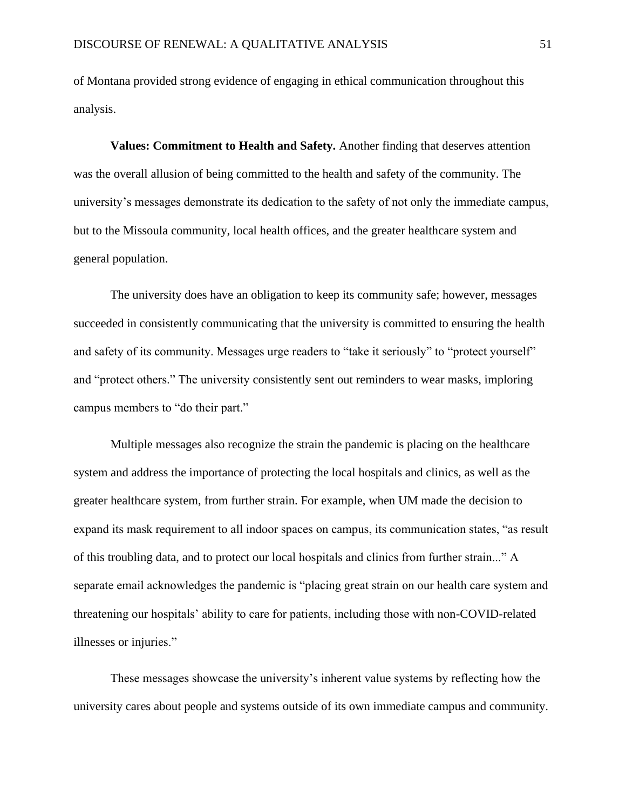of Montana provided strong evidence of engaging in ethical communication throughout this analysis.

**Values: Commitment to Health and Safety.** Another finding that deserves attention was the overall allusion of being committed to the health and safety of the community. The university's messages demonstrate its dedication to the safety of not only the immediate campus, but to the Missoula community, local health offices, and the greater healthcare system and general population.

The university does have an obligation to keep its community safe; however, messages succeeded in consistently communicating that the university is committed to ensuring the health and safety of its community. Messages urge readers to "take it seriously" to "protect yourself" and "protect others." The university consistently sent out reminders to wear masks, imploring campus members to "do their part."

Multiple messages also recognize the strain the pandemic is placing on the healthcare system and address the importance of protecting the local hospitals and clinics, as well as the greater healthcare system, from further strain. For example, when UM made the decision to expand its mask requirement to all indoor spaces on campus, its communication states, "as result of this troubling data, and to protect our local hospitals and clinics from further strain..." A separate email acknowledges the pandemic is "placing great strain on our health care system and threatening our hospitals' ability to care for patients, including those with non-COVID-related illnesses or injuries."

These messages showcase the university's inherent value systems by reflecting how the university cares about people and systems outside of its own immediate campus and community.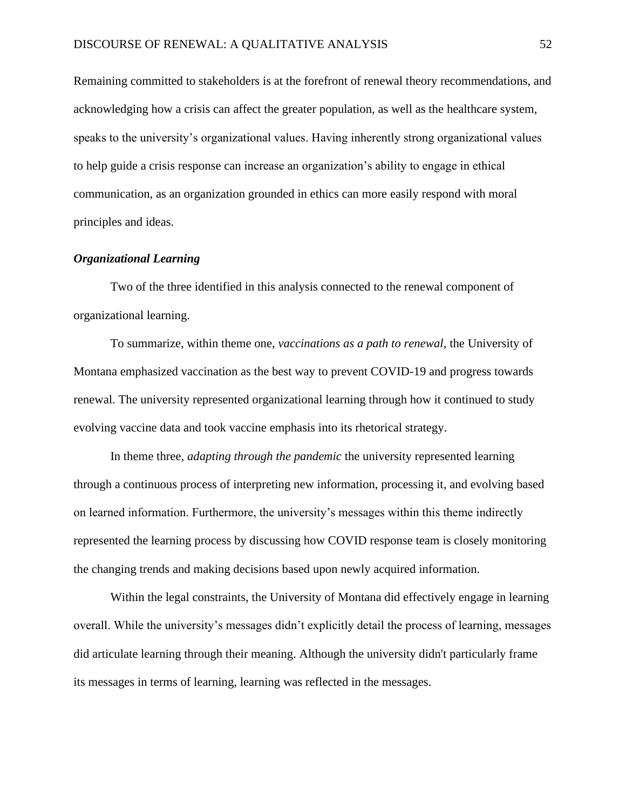Remaining committed to stakeholders is at the forefront of renewal theory recommendations, and acknowledging how a crisis can affect the greater population, as well as the healthcare system, speaks to the university's organizational values. Having inherently strong organizational values to help guide a crisis response can increase an organization's ability to engage in ethical communication, as an organization grounded in ethics can more easily respond with moral principles and ideas.

## *Organizational Learning*

Two of the three identified in this analysis connected to the renewal component of organizational learning.

To summarize, within theme one, *vaccinations as a path to renewal*, the University of Montana emphasized vaccination as the best way to prevent COVID-19 and progress towards renewal. The university represented organizational learning through how it continued to study evolving vaccine data and took vaccine emphasis into its rhetorical strategy.

In theme three, *adapting through the pandemic* the university represented learning through a continuous process of interpreting new information, processing it, and evolving based on learned information. Furthermore, the university's messages within this theme indirectly represented the learning process by discussing how COVID response team is closely monitoring the changing trends and making decisions based upon newly acquired information.

Within the legal constraints, the University of Montana did effectively engage in learning overall. While the university's messages didn't explicitly detail the process of learning, messages did articulate learning through their meaning. Although the university didn't particularly frame its messages in terms of learning, learning was reflected in the messages.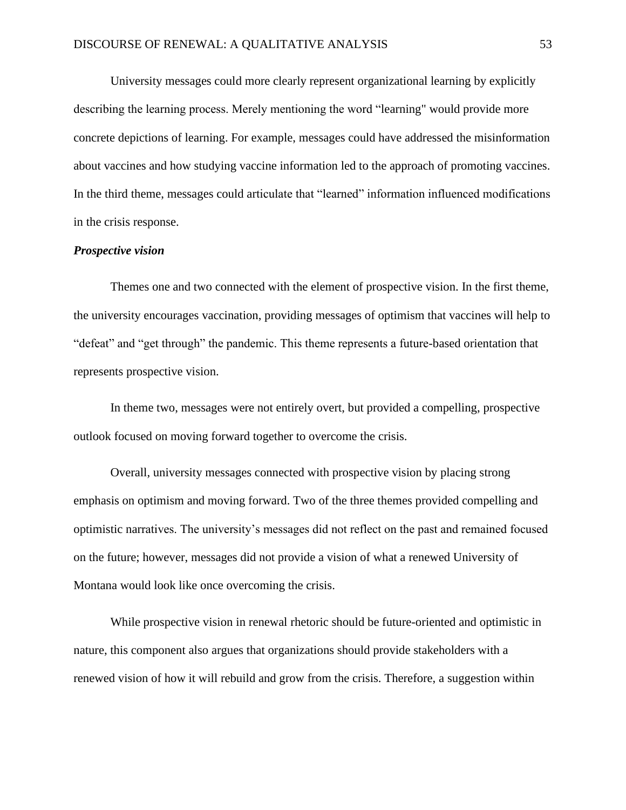University messages could more clearly represent organizational learning by explicitly describing the learning process. Merely mentioning the word "learning" would provide more concrete depictions of learning. For example, messages could have addressed the misinformation about vaccines and how studying vaccine information led to the approach of promoting vaccines. In the third theme, messages could articulate that "learned" information influenced modifications in the crisis response.

#### *Prospective vision*

Themes one and two connected with the element of prospective vision. In the first theme, the university encourages vaccination, providing messages of optimism that vaccines will help to "defeat" and "get through" the pandemic. This theme represents a future-based orientation that represents prospective vision.

In theme two, messages were not entirely overt, but provided a compelling, prospective outlook focused on moving forward together to overcome the crisis.

Overall, university messages connected with prospective vision by placing strong emphasis on optimism and moving forward. Two of the three themes provided compelling and optimistic narratives. The university's messages did not reflect on the past and remained focused on the future; however, messages did not provide a vision of what a renewed University of Montana would look like once overcoming the crisis.

While prospective vision in renewal rhetoric should be future-oriented and optimistic in nature, this component also argues that organizations should provide stakeholders with a renewed vision of how it will rebuild and grow from the crisis. Therefore, a suggestion within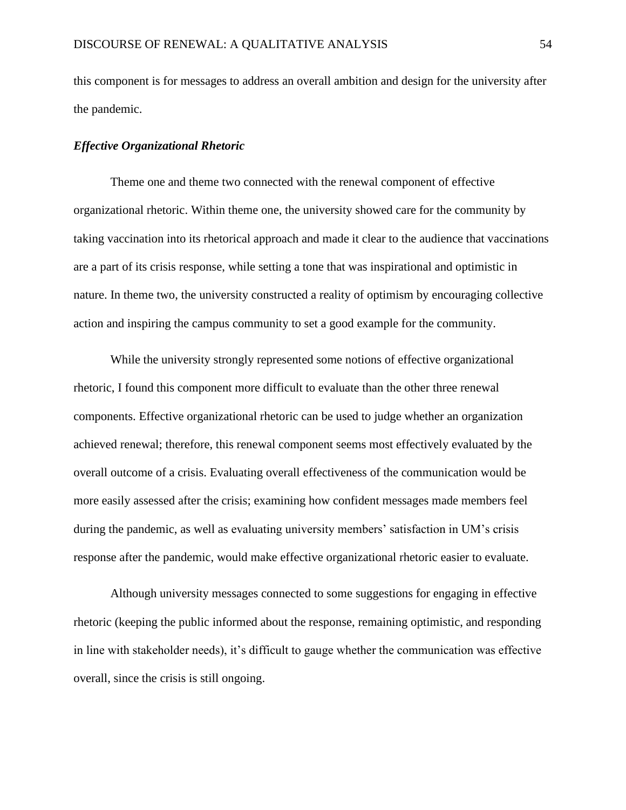this component is for messages to address an overall ambition and design for the university after the pandemic.

## *Effective Organizational Rhetoric*

Theme one and theme two connected with the renewal component of effective organizational rhetoric. Within theme one, the university showed care for the community by taking vaccination into its rhetorical approach and made it clear to the audience that vaccinations are a part of its crisis response, while setting a tone that was inspirational and optimistic in nature. In theme two, the university constructed a reality of optimism by encouraging collective action and inspiring the campus community to set a good example for the community.

While the university strongly represented some notions of effective organizational rhetoric, I found this component more difficult to evaluate than the other three renewal components. Effective organizational rhetoric can be used to judge whether an organization achieved renewal; therefore, this renewal component seems most effectively evaluated by the overall outcome of a crisis. Evaluating overall effectiveness of the communication would be more easily assessed after the crisis; examining how confident messages made members feel during the pandemic, as well as evaluating university members' satisfaction in UM's crisis response after the pandemic, would make effective organizational rhetoric easier to evaluate.

Although university messages connected to some suggestions for engaging in effective rhetoric (keeping the public informed about the response, remaining optimistic, and responding in line with stakeholder needs), it's difficult to gauge whether the communication was effective overall, since the crisis is still ongoing.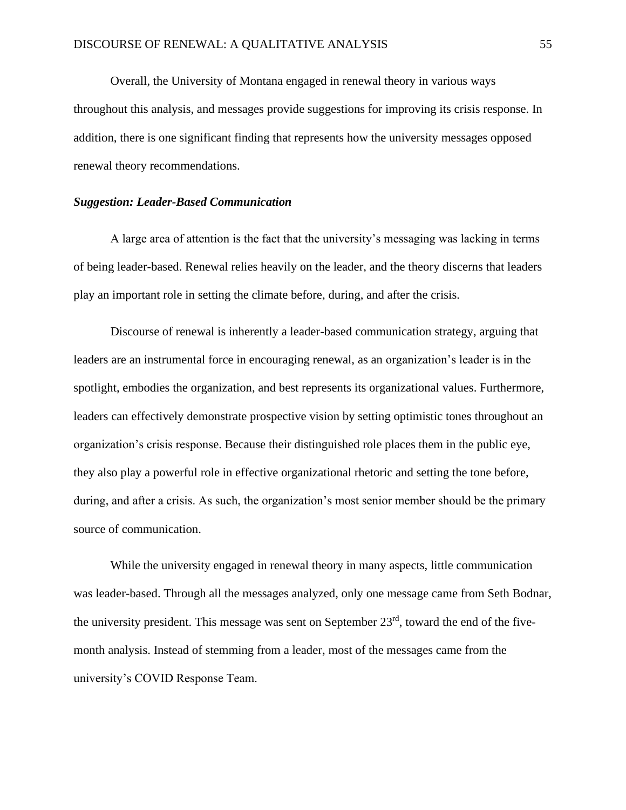Overall, the University of Montana engaged in renewal theory in various ways throughout this analysis, and messages provide suggestions for improving its crisis response. In addition, there is one significant finding that represents how the university messages opposed renewal theory recommendations.

## *Suggestion: Leader-Based Communication*

A large area of attention is the fact that the university's messaging was lacking in terms of being leader-based. Renewal relies heavily on the leader, and the theory discerns that leaders play an important role in setting the climate before, during, and after the crisis.

Discourse of renewal is inherently a leader-based communication strategy, arguing that leaders are an instrumental force in encouraging renewal, as an organization's leader is in the spotlight, embodies the organization, and best represents its organizational values. Furthermore, leaders can effectively demonstrate prospective vision by setting optimistic tones throughout an organization's crisis response. Because their distinguished role places them in the public eye, they also play a powerful role in effective organizational rhetoric and setting the tone before, during, and after a crisis. As such, the organization's most senior member should be the primary source of communication.

While the university engaged in renewal theory in many aspects, little communication was leader-based. Through all the messages analyzed, only one message came from Seth Bodnar, the university president. This message was sent on September 23<sup>rd</sup>, toward the end of the fivemonth analysis. Instead of stemming from a leader, most of the messages came from the university's COVID Response Team.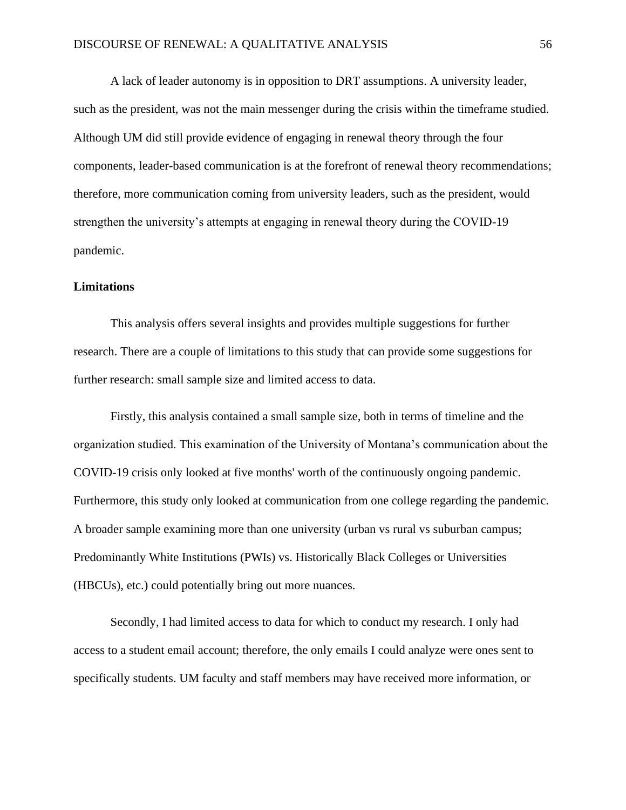A lack of leader autonomy is in opposition to DRT assumptions. A university leader, such as the president, was not the main messenger during the crisis within the timeframe studied. Although UM did still provide evidence of engaging in renewal theory through the four components, leader-based communication is at the forefront of renewal theory recommendations; therefore, more communication coming from university leaders, such as the president, would strengthen the university's attempts at engaging in renewal theory during the COVID-19 pandemic.

#### **Limitations**

This analysis offers several insights and provides multiple suggestions for further research. There are a couple of limitations to this study that can provide some suggestions for further research: small sample size and limited access to data.

Firstly, this analysis contained a small sample size, both in terms of timeline and the organization studied. This examination of the University of Montana's communication about the COVID-19 crisis only looked at five months' worth of the continuously ongoing pandemic. Furthermore, this study only looked at communication from one college regarding the pandemic. A broader sample examining more than one university (urban vs rural vs suburban campus; Predominantly White Institutions (PWIs) vs. Historically Black Colleges or Universities (HBCUs), etc.) could potentially bring out more nuances.

Secondly, I had limited access to data for which to conduct my research. I only had access to a student email account; therefore, the only emails I could analyze were ones sent to specifically students. UM faculty and staff members may have received more information, or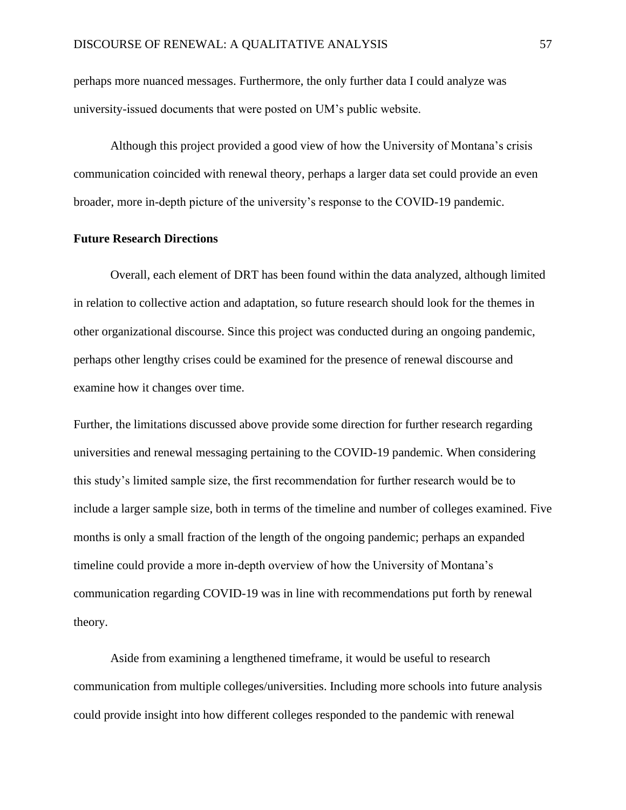perhaps more nuanced messages. Furthermore, the only further data I could analyze was university-issued documents that were posted on UM's public website.

Although this project provided a good view of how the University of Montana's crisis communication coincided with renewal theory, perhaps a larger data set could provide an even broader, more in-depth picture of the university's response to the COVID-19 pandemic.

#### **Future Research Directions**

Overall, each element of DRT has been found within the data analyzed, although limited in relation to collective action and adaptation, so future research should look for the themes in other organizational discourse. Since this project was conducted during an ongoing pandemic, perhaps other lengthy crises could be examined for the presence of renewal discourse and examine how it changes over time.

Further, the limitations discussed above provide some direction for further research regarding universities and renewal messaging pertaining to the COVID-19 pandemic. When considering this study's limited sample size, the first recommendation for further research would be to include a larger sample size, both in terms of the timeline and number of colleges examined. Five months is only a small fraction of the length of the ongoing pandemic; perhaps an expanded timeline could provide a more in-depth overview of how the University of Montana's communication regarding COVID-19 was in line with recommendations put forth by renewal theory.

Aside from examining a lengthened timeframe, it would be useful to research communication from multiple colleges/universities. Including more schools into future analysis could provide insight into how different colleges responded to the pandemic with renewal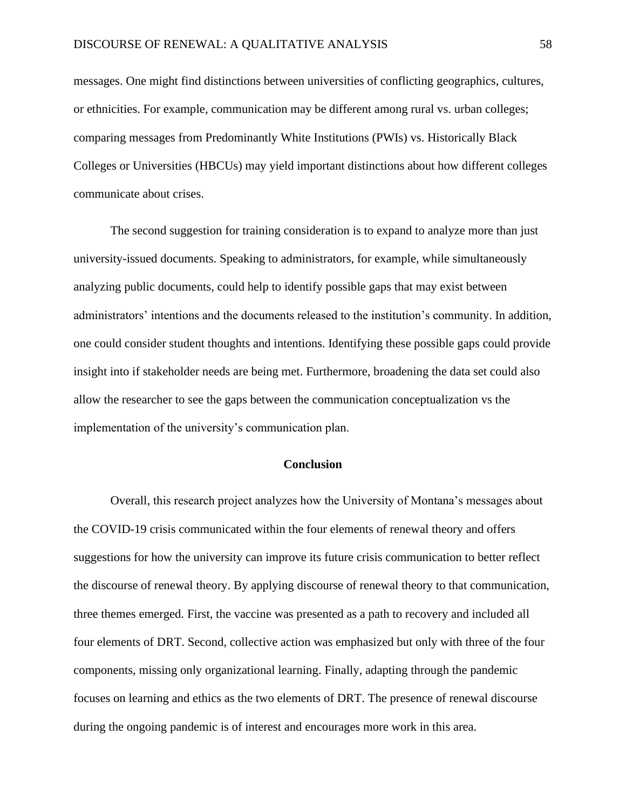messages. One might find distinctions between universities of conflicting geographics, cultures, or ethnicities. For example, communication may be different among rural vs. urban colleges; comparing messages from Predominantly White Institutions (PWIs) vs. Historically Black Colleges or Universities (HBCUs) may yield important distinctions about how different colleges communicate about crises.

The second suggestion for training consideration is to expand to analyze more than just university-issued documents. Speaking to administrators, for example, while simultaneously analyzing public documents, could help to identify possible gaps that may exist between administrators' intentions and the documents released to the institution's community. In addition, one could consider student thoughts and intentions. Identifying these possible gaps could provide insight into if stakeholder needs are being met. Furthermore, broadening the data set could also allow the researcher to see the gaps between the communication conceptualization vs the implementation of the university's communication plan.

## **Conclusion**

Overall, this research project analyzes how the University of Montana's messages about the COVID-19 crisis communicated within the four elements of renewal theory and offers suggestions for how the university can improve its future crisis communication to better reflect the discourse of renewal theory. By applying discourse of renewal theory to that communication, three themes emerged. First, the vaccine was presented as a path to recovery and included all four elements of DRT. Second, collective action was emphasized but only with three of the four components, missing only organizational learning. Finally, adapting through the pandemic focuses on learning and ethics as the two elements of DRT. The presence of renewal discourse during the ongoing pandemic is of interest and encourages more work in this area.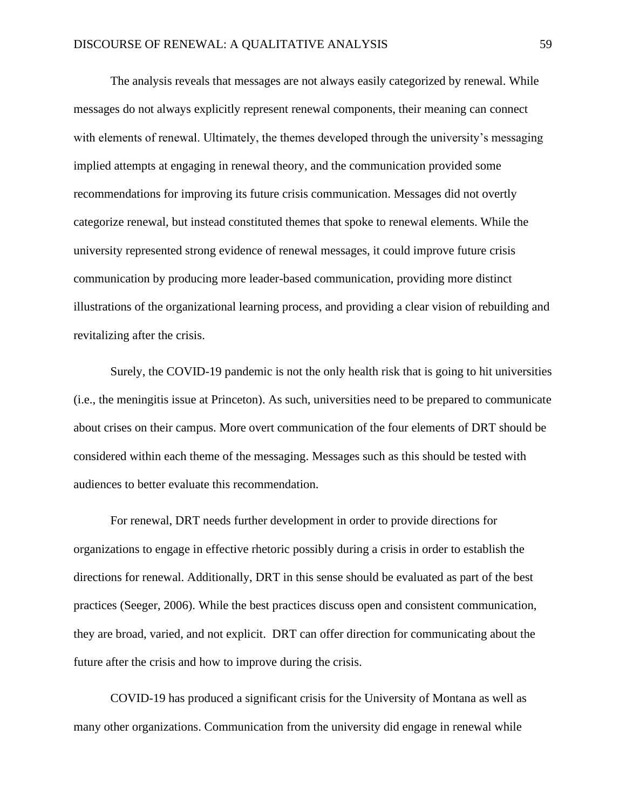The analysis reveals that messages are not always easily categorized by renewal. While messages do not always explicitly represent renewal components, their meaning can connect with elements of renewal. Ultimately, the themes developed through the university's messaging implied attempts at engaging in renewal theory, and the communication provided some recommendations for improving its future crisis communication. Messages did not overtly categorize renewal, but instead constituted themes that spoke to renewal elements. While the university represented strong evidence of renewal messages, it could improve future crisis communication by producing more leader-based communication, providing more distinct illustrations of the organizational learning process, and providing a clear vision of rebuilding and revitalizing after the crisis.

Surely, the COVID-19 pandemic is not the only health risk that is going to hit universities (i.e., the meningitis issue at Princeton). As such, universities need to be prepared to communicate about crises on their campus. More overt communication of the four elements of DRT should be considered within each theme of the messaging. Messages such as this should be tested with audiences to better evaluate this recommendation.

For renewal, DRT needs further development in order to provide directions for organizations to engage in effective rhetoric possibly during a crisis in order to establish the directions for renewal. Additionally, DRT in this sense should be evaluated as part of the best practices (Seeger, 2006). While the best practices discuss open and consistent communication, they are broad, varied, and not explicit. DRT can offer direction for communicating about the future after the crisis and how to improve during the crisis.

COVID-19 has produced a significant crisis for the University of Montana as well as many other organizations. Communication from the university did engage in renewal while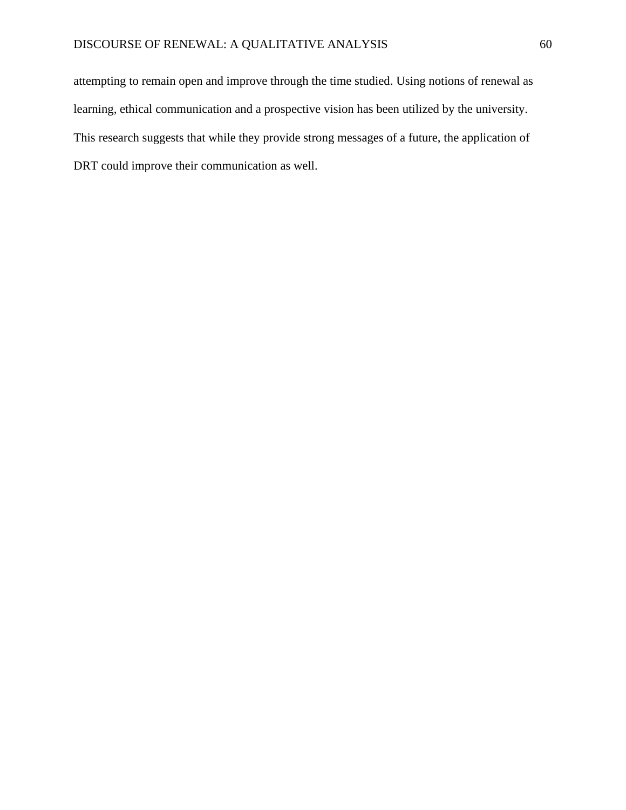attempting to remain open and improve through the time studied. Using notions of renewal as learning, ethical communication and a prospective vision has been utilized by the university. This research suggests that while they provide strong messages of a future, the application of DRT could improve their communication as well.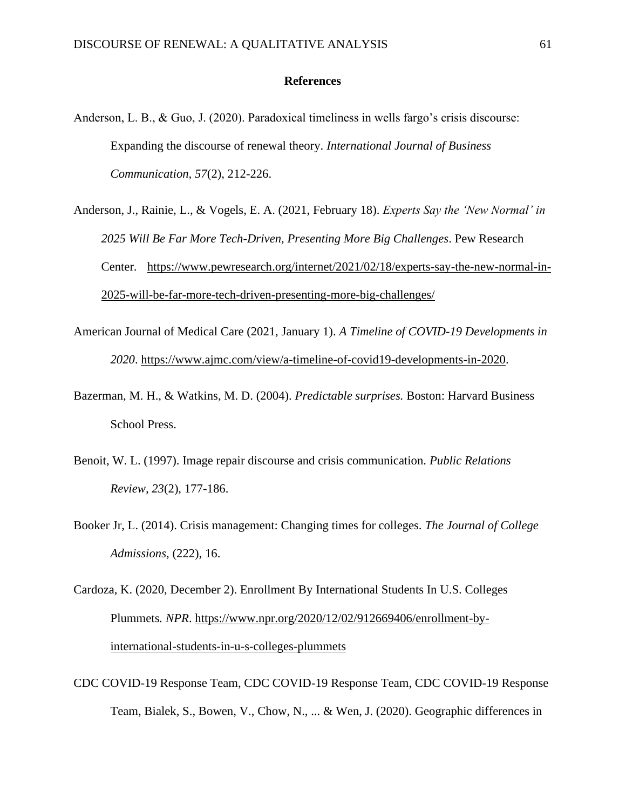#### **References**

- Anderson, L. B., & Guo, J. (2020). Paradoxical timeliness in wells fargo's crisis discourse: Expanding the discourse of renewal theory. *International Journal of Business Communication, 57*(2), 212-226.
- Anderson, J., Rainie, L., & Vogels, E. A. (2021, February 18). *Experts Say the 'New Normal' in 2025 Will Be Far More Tech-Driven, Presenting More Big Challenges*. Pew Research Center. [https://www.pewresearch.org/internet/2021/02/18/experts-say-the-new-normal-in-](https://www.pewresearch.org/internet/2021/02/18/experts-say-the-new-normal-in-2025-will-be-far-more-tech-driven-presenting-more-big-challenges/)[2025-will-be-far-more-tech-driven-presenting-more-big-challenges/](https://www.pewresearch.org/internet/2021/02/18/experts-say-the-new-normal-in-2025-will-be-far-more-tech-driven-presenting-more-big-challenges/)
- American Journal of Medical Care (2021, January 1). *A Timeline of COVID-19 Developments in 2020*. [https://www.ajmc.com/view/a-timeline-of-covid19-developments-in-2020.](https://www.ajmc.com/view/a-timeline-of-covid19-developments-in-2020)
- Bazerman, M. H., & Watkins, M. D. (2004). *Predictable surprises.* Boston: Harvard Business School Press.
- Benoit, W. L. (1997). Image repair discourse and crisis communication. *Public Relations Review, 23*(2), 177-186.
- Booker Jr, L. (2014). Crisis management: Changing times for colleges. *The Journal of College Admissions,* (222), 16.
- Cardoza, K. (2020, December 2). Enrollment By International Students In U.S. Colleges Plummets*. NPR*. [https://www.npr.org/2020/12/02/912669406/enrollment-by](https://www.npr.org/2020/12/02/912669406/enrollment-by-international-students-in-u-s-colleges-plummets)[international-students-in-u-s-colleges-plummets](https://www.npr.org/2020/12/02/912669406/enrollment-by-international-students-in-u-s-colleges-plummets)
- CDC COVID-19 Response Team, CDC COVID-19 Response Team, CDC COVID-19 Response Team, Bialek, S., Bowen, V., Chow, N., ... & Wen, J. (2020). Geographic differences in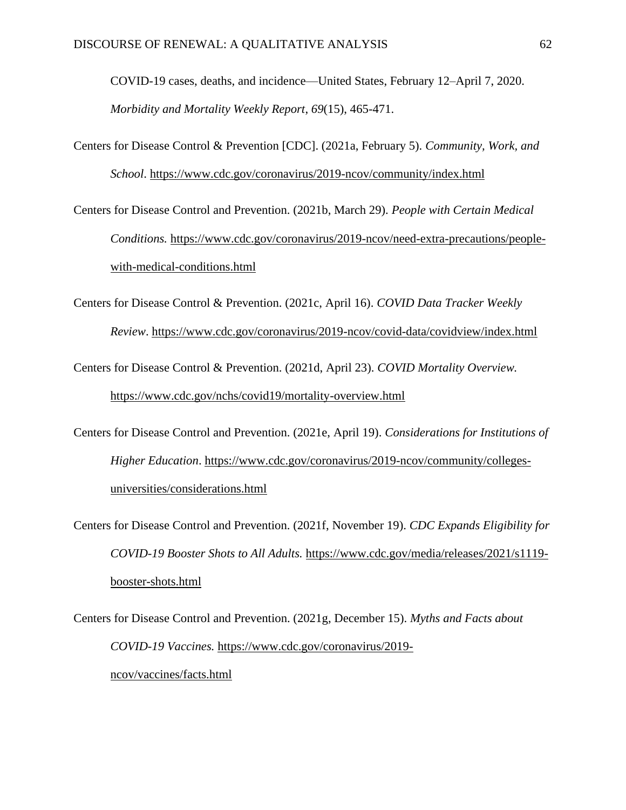COVID-19 cases, deaths, and incidence—United States, February 12–April 7, 2020. *Morbidity and Mortality Weekly Report*, *69*(15), 465-471.

- Centers for Disease Control & Prevention [CDC]. (2021a, February 5). *Community, Work, and School*.<https://www.cdc.gov/coronavirus/2019-ncov/community/index.html>
- Centers for Disease Control and Prevention. (2021b, March 29). *People with Certain Medical Conditions.* [https://www.cdc.gov/coronavirus/2019-ncov/need-extra-precautions/people](https://www.cdc.gov/coronavirus/2019-ncov/need-extra-precautions/people-with-medical-conditions.html)[with-medical-conditions.html](https://www.cdc.gov/coronavirus/2019-ncov/need-extra-precautions/people-with-medical-conditions.html)
- Centers for Disease Control & Prevention. (2021c, April 16). *COVID Data Tracker Weekly Review*.<https://www.cdc.gov/coronavirus/2019-ncov/covid-data/covidview/index.html>
- Centers for Disease Control & Prevention. (2021d, April 23). *COVID Mortality Overview.* <https://www.cdc.gov/nchs/covid19/mortality-overview.html>
- Centers for Disease Control and Prevention. (2021e, April 19). *Considerations for Institutions of Higher Education*. [https://www.cdc.gov/coronavirus/2019-ncov/community/colleges](https://www.cdc.gov/coronavirus/2019-ncov/community/colleges-universities/considerations.html)[universities/considerations.html](https://www.cdc.gov/coronavirus/2019-ncov/community/colleges-universities/considerations.html)
- Centers for Disease Control and Prevention. (2021f, November 19). *CDC Expands Eligibility for COVID-19 Booster Shots to All Adults.* [https://www.cdc.gov/media/releases/2021/s1119](https://www.cdc.gov/media/releases/2021/s1119-booster-shots.html) [booster-shots.html](https://www.cdc.gov/media/releases/2021/s1119-booster-shots.html)
- Centers for Disease Control and Prevention. (2021g, December 15). *Myths and Facts about COVID-19 Vaccines.* https://www.cdc.gov/coronavirus/2019 ncov/vaccines/facts.html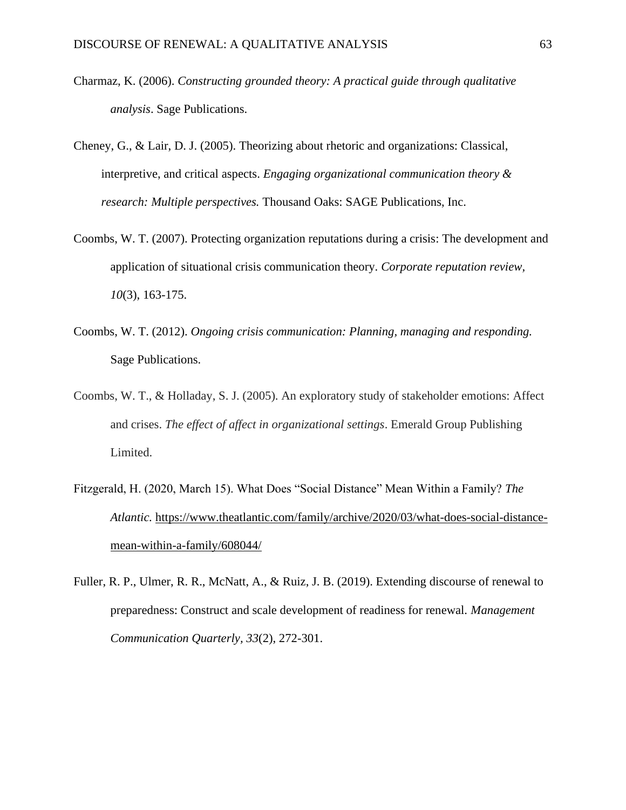- Charmaz, K. (2006). *Constructing grounded theory: A practical guide through qualitative analysis*. Sage Publications.
- Cheney, G., & Lair, D. J. (2005). Theorizing about rhetoric and organizations: Classical, interpretive, and critical aspects. *Engaging organizational communication theory & research: Multiple perspectives.* Thousand Oaks: SAGE Publications, Inc.
- Coombs, W. T. (2007). Protecting organization reputations during a crisis: The development and application of situational crisis communication theory. *Corporate reputation review, 10*(3), 163-175.
- Coombs, W. T. (2012). *Ongoing crisis communication: Planning, managing and responding.* Sage Publications.
- Coombs, W. T., & Holladay, S. J. (2005). An exploratory study of stakeholder emotions: Affect and crises. *The effect of affect in organizational settings*. Emerald Group Publishing Limited.
- Fitzgerald, H. (2020, March 15). What Does "Social Distance" Mean Within a Family? *The Atlantic.* [https://www.theatlantic.com/family/archive/2020/03/what-does-social-distance](https://www.theatlantic.com/family/archive/2020/03/what-does-social-distance-mean-within-a-family/608044/)[mean-within-a-family/608044/](https://www.theatlantic.com/family/archive/2020/03/what-does-social-distance-mean-within-a-family/608044/)
- Fuller, R. P., Ulmer, R. R., McNatt, A., & Ruiz, J. B. (2019). Extending discourse of renewal to preparedness: Construct and scale development of readiness for renewal. *Management Communication Quarterly, 33*(2), 272-301.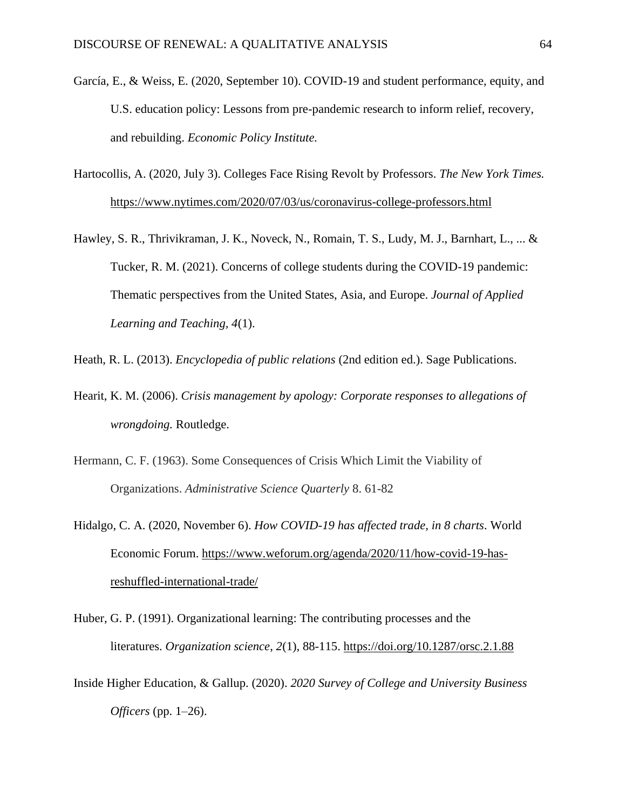- García, E., & Weiss, E. (2020, September 10). COVID-19 and student performance, equity, and U.S. education policy: Lessons from pre-pandemic research to inform relief, recovery, and rebuilding. *Economic Policy Institute.*
- Hartocollis, A. (2020, July 3). Colleges Face Rising Revolt by Professors. *The New York Times.* <https://www.nytimes.com/2020/07/03/us/coronavirus-college-professors.html>
- Hawley, S. R., Thrivikraman, J. K., Noveck, N., Romain, T. S., Ludy, M. J., Barnhart, L., ... & Tucker, R. M. (2021). Concerns of college students during the COVID-19 pandemic: Thematic perspectives from the United States, Asia, and Europe. *Journal of Applied Learning and Teaching, 4*(1).
- Heath, R. L. (2013). *Encyclopedia of public relations* (2nd edition ed.). Sage Publications.
- Hearit, K. M. (2006). *Crisis management by apology: Corporate responses to allegations of wrongdoing.* Routledge.
- Hermann, C. F. (1963). Some Consequences of Crisis Which Limit the Viability of Organizations. *Administrative Science Quarterly* 8. 61-82
- Hidalgo, C. A. (2020, November 6). *How COVID-19 has affected trade, in 8 charts*. World Economic Forum. [https://www.weforum.org/agenda/2020/11/how-covid-19-has](https://www.weforum.org/agenda/2020/11/how-covid-19-has-reshuffled-international-trade/)[reshuffled-international-trade/](https://www.weforum.org/agenda/2020/11/how-covid-19-has-reshuffled-international-trade/)
- Huber, G. P. (1991). Organizational learning: The contributing processes and the literatures. *Organization science*, *2*(1), 88-115. <https://doi.org/10.1287/orsc.2.1.88>
- Inside Higher Education, & Gallup. (2020). *2020 Survey of College and University Business Officers* (pp. 1–26).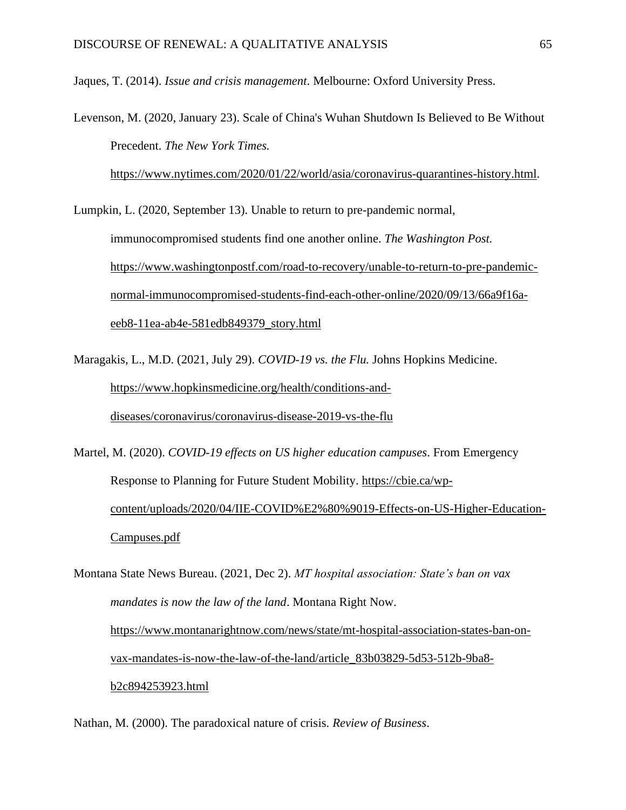Jaques, T. (2014). *Issue and crisis management*. Melbourne: Oxford University Press.

Levenson, M. (2020, January 23). Scale of China's Wuhan Shutdown Is Believed to Be Without Precedent. *The New York Times.*

[https://www.nytimes.com/2020/01/22/world/asia/coronavirus-quarantines-history.html.](https://www.nytimes.com/2020/01/22/world/asia/coronavirus-quarantines-history.html)

Lumpkin, L. (2020, September 13). Unable to return to pre-pandemic normal, immunocompromised students find one another online. *The Washington Post.* [https://www.washingtonpostf.com/road-to-recovery/unable-to-return-to-pre-pandemic](https://www.washingtonpostf.com/road-to-recovery/unable-to-return-to-pre-pandemic-normal-immunocompromised-students-find-each-other-online/2020/09/13/66a9f16a-eeb8-11ea-ab4e-581edb849379_story.html)[normal-immunocompromised-students-find-each-other-online/2020/09/13/66a9f16a](https://www.washingtonpostf.com/road-to-recovery/unable-to-return-to-pre-pandemic-normal-immunocompromised-students-find-each-other-online/2020/09/13/66a9f16a-eeb8-11ea-ab4e-581edb849379_story.html)[eeb8-11ea-ab4e-581edb849379\\_story.html](https://www.washingtonpostf.com/road-to-recovery/unable-to-return-to-pre-pandemic-normal-immunocompromised-students-find-each-other-online/2020/09/13/66a9f16a-eeb8-11ea-ab4e-581edb849379_story.html)

Maragakis, L., M.D. (2021, July 29). *COVID-19 vs. the Flu.* Johns Hopkins Medicine. [https://www.hopkinsmedicine.org/health/conditions-and](https://www.hopkinsmedicine.org/health/conditions-and-diseases/coronavirus/coronavirus-disease-2019-vs-the-flu)[diseases/coronavirus/coronavirus-disease-2019-vs-the-flu](https://www.hopkinsmedicine.org/health/conditions-and-diseases/coronavirus/coronavirus-disease-2019-vs-the-flu)

Martel, M. (2020). *COVID-19 effects on US higher education campuses*. From Emergency Response to Planning for Future Student Mobility. [https://cbie.ca/wp](https://cbie.ca/wp-content/uploads/2020/04/IIE-COVID%E2%80%9019-Effects-on-US-Higher-Education-Campuses.pdf)[content/uploads/2020/04/IIE-COVID%E2%80%9019-Effects-on-US-Higher-Education-](https://cbie.ca/wp-content/uploads/2020/04/IIE-COVID%E2%80%9019-Effects-on-US-Higher-Education-Campuses.pdf)[Campuses.pdf](https://cbie.ca/wp-content/uploads/2020/04/IIE-COVID%E2%80%9019-Effects-on-US-Higher-Education-Campuses.pdf)

Montana State News Bureau. (2021, Dec 2). *MT hospital association: State's ban on vax mandates is now the law of the land*. Montana Right Now. [https://www.montanarightnow.com/news/state/mt-hospital-association-states-ban-on](https://www.montanarightnow.com/news/state/mt-hospital-association-states-ban-on-vax-mandates-is-now-the-law-of-the-land/article_83b03829-5d53-512b-9ba8-b2c894253923.html)[vax-mandates-is-now-the-law-of-the-land/article\\_83b03829-5d53-512b-9ba8](https://www.montanarightnow.com/news/state/mt-hospital-association-states-ban-on-vax-mandates-is-now-the-law-of-the-land/article_83b03829-5d53-512b-9ba8-b2c894253923.html) [b2c894253923.html](https://www.montanarightnow.com/news/state/mt-hospital-association-states-ban-on-vax-mandates-is-now-the-law-of-the-land/article_83b03829-5d53-512b-9ba8-b2c894253923.html)

Nathan, M. (2000). The paradoxical nature of crisis. *Review of Business*.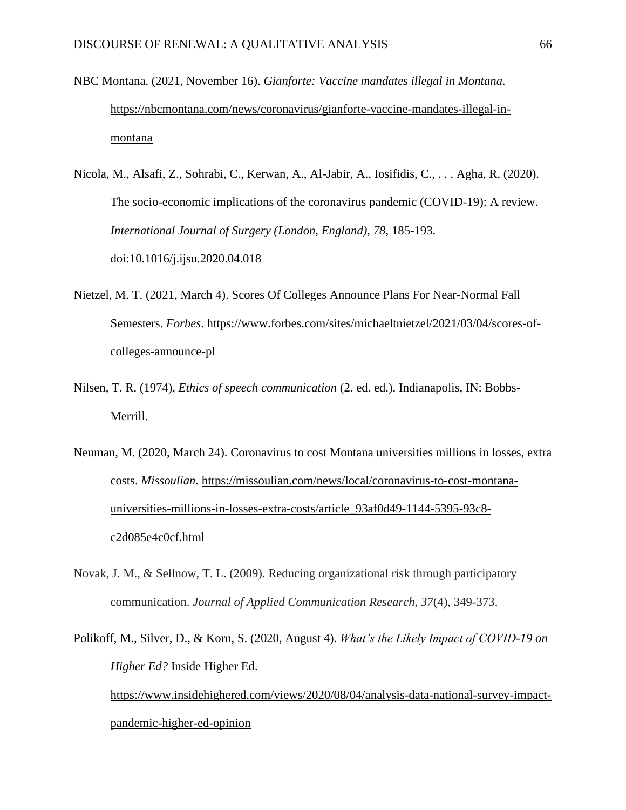- NBC Montana. (2021, November 16). *Gianforte: Vaccine mandates illegal in Montana.*  [https://nbcmontana.com/news/coronavirus/gianforte-vaccine-mandates-illegal-in](https://nbcmontana.com/news/coronavirus/gianforte-vaccine-mandates-illegal-in-montana)[montana](https://nbcmontana.com/news/coronavirus/gianforte-vaccine-mandates-illegal-in-montana)
- Nicola, M., Alsafi, Z., Sohrabi, C., Kerwan, A., Al-Jabir, A., Iosifidis, C., . . . Agha, R. (2020). The socio-economic implications of the coronavirus pandemic (COVID-19): A review. *International Journal of Surgery (London, England), 78*, 185-193. doi:10.1016/j.ijsu.2020.04.018
- Nietzel, M. T. (2021, March 4). Scores Of Colleges Announce Plans For Near-Normal Fall Semesters. *Forbes*. [https://www.forbes.com/sites/michaeltnietzel/2021/03/04/scores-of](https://www.forbes.com/sites/michaeltnietzel/2021/03/04/scores-of-colleges-announce-pl)[colleges-announce-pl](https://www.forbes.com/sites/michaeltnietzel/2021/03/04/scores-of-colleges-announce-pl)
- Nilsen, T. R. (1974). *Ethics of speech communication* (2. ed. ed.). Indianapolis, IN: Bobbs-Merrill.
- Neuman, M. (2020, March 24). Coronavirus to cost Montana universities millions in losses, extra costs. *Missoulian*. [https://missoulian.com/news/local/coronavirus-to-cost-montana](https://missoulian.com/news/local/coronavirus-to-cost-montana-universities-millions-in-losses-extra-costs/article_93af0d49-1144-5395-93c8-c2d085e4c0cf.html)[universities-millions-in-losses-extra-costs/article\\_93af0d49-1144-5395-93c8](https://missoulian.com/news/local/coronavirus-to-cost-montana-universities-millions-in-losses-extra-costs/article_93af0d49-1144-5395-93c8-c2d085e4c0cf.html) [c2d085e4c0cf.html](https://missoulian.com/news/local/coronavirus-to-cost-montana-universities-millions-in-losses-extra-costs/article_93af0d49-1144-5395-93c8-c2d085e4c0cf.html)
- Novak, J. M., & Sellnow, T. L. (2009). Reducing organizational risk through participatory communication. *Journal of Applied Communication Research*, *37*(4), 349-373.

```
Polikoff, M., Silver, D., & Korn, S. (2020, August 4). What's the Likely Impact of COVID-19 on 
Higher Ed? Inside Higher Ed. 
https://www.insidehighered.com/views/2020/08/04/analysis-data-national-survey-impact-
pandemic-higher-ed-opinion
```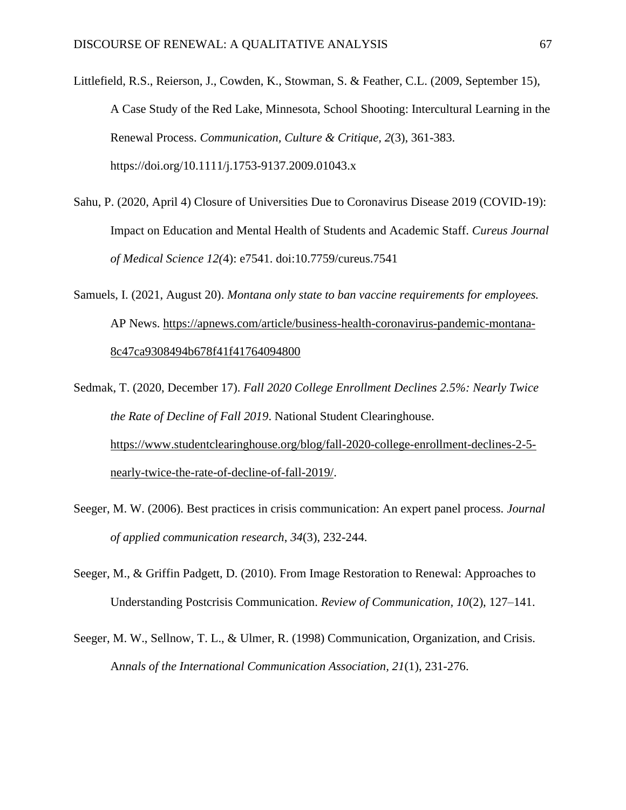Littlefield, R.S., Reierson, J., Cowden, K., Stowman, S. & Feather, C.L. (2009, September 15), A Case Study of the Red Lake, Minnesota, School Shooting: Intercultural Learning in the Renewal Process. *Communication, Culture & Critique, 2*(3), 361-383. https://doi.org/10.1111/j.1753-9137.2009.01043.x

- Sahu, P. (2020, April 4) Closure of Universities Due to Coronavirus Disease 2019 (COVID-19): Impact on Education and Mental Health of Students and Academic Staff. *Cureus Journal of Medical Science 12(*4): e7541. doi:10.7759/cureus.7541
- Samuels, I. (2021, August 20). *Montana only state to ban vaccine requirements for employees.* AP News. [https://apnews.com/article/business-health-coronavirus-pandemic-montana-](https://apnews.com/article/business-health-coronavirus-pandemic-montana-8c47ca9308494b678f41f41764094800)[8c47ca9308494b678f41f41764094800](https://apnews.com/article/business-health-coronavirus-pandemic-montana-8c47ca9308494b678f41f41764094800)
- Sedmak, T. (2020, December 17). *Fall 2020 College Enrollment Declines 2.5%: Nearly Twice the Rate of Decline of Fall 2019*. National Student Clearinghouse. [https://www.studentclearinghouse.org/blog/fall-2020-college-enrollment-declines-2-5](https://www.studentclearinghouse.org/blog/fall-2020-college-enrollment-declines-2-5-nearly-twice-the-rate-of-decline-of-fall-2019/) [nearly-twice-the-rate-of-decline-of-fall-2019/.](https://www.studentclearinghouse.org/blog/fall-2020-college-enrollment-declines-2-5-nearly-twice-the-rate-of-decline-of-fall-2019/)
- Seeger, M. W. (2006). Best practices in crisis communication: An expert panel process. *Journal of applied communication research*, *34*(3), 232-244.
- Seeger, M., & Griffin Padgett, D. (2010). From Image Restoration to Renewal: Approaches to Understanding Postcrisis Communication. *Review of Communication, 10*(2), 127–141.
- Seeger, M. W., Sellnow, T. L., & Ulmer, R. (1998) Communication, Organization, and Crisis. A*nnals of the International Communication Association, 21*(1), 231-276.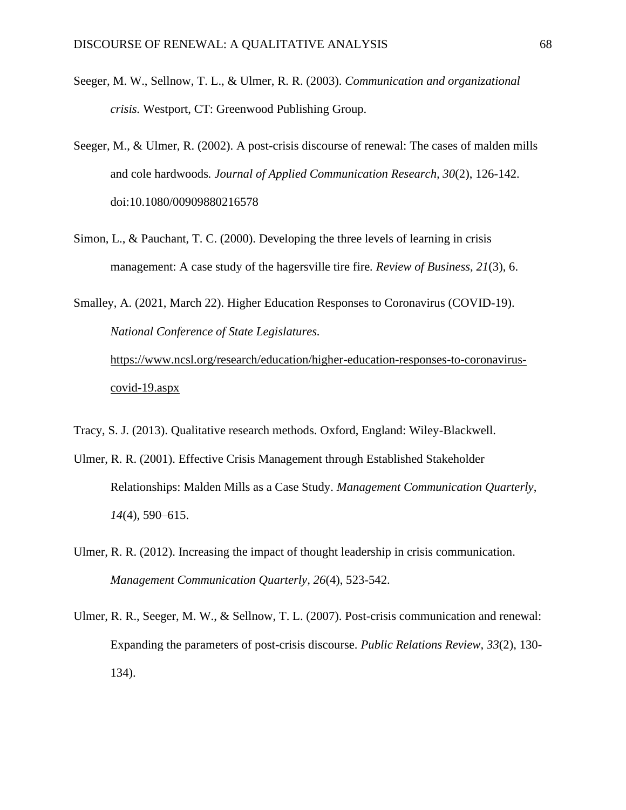- Seeger, M. W., Sellnow, T. L., & Ulmer, R. R. (2003). *Communication and organizational crisis.* Westport, CT: Greenwood Publishing Group.
- Seeger, M., & Ulmer, R. (2002). A post-crisis discourse of renewal: The cases of malden mills and cole hardwoods*. Journal of Applied Communication Research, 30*(2), 126-142. doi:10.1080/00909880216578
- Simon, L., & Pauchant, T. C. (2000). Developing the three levels of learning in crisis management: A case study of the hagersville tire fire*. Review of Business, 21*(3), 6.
- Smalley, A. (2021, March 22). Higher Education Responses to Coronavirus (COVID-19). *National Conference of State Legislatures.* [https://www.ncsl.org/research/education/higher-education-responses-to-coronavirus-](https://www.ncsl.org/research/education/higher-education-responses-to-coronavirus-covid-19.aspx)

[covid-19.aspx](https://www.ncsl.org/research/education/higher-education-responses-to-coronavirus-covid-19.aspx)

- Tracy, S. J. (2013). Qualitative research methods. Oxford, England: Wiley-Blackwell.
- Ulmer, R. R. (2001). Effective Crisis Management through Established Stakeholder Relationships: Malden Mills as a Case Study. *Management Communication Quarterly*, *14*(4), 590–615.
- Ulmer, R. R. (2012). Increasing the impact of thought leadership in crisis communication. *Management Communication Quarterly, 26*(4), 523-542.
- Ulmer, R. R., Seeger, M. W., & Sellnow, T. L. (2007). Post-crisis communication and renewal: Expanding the parameters of post-crisis discourse. *Public Relations Review, 33*(2), 130- 134).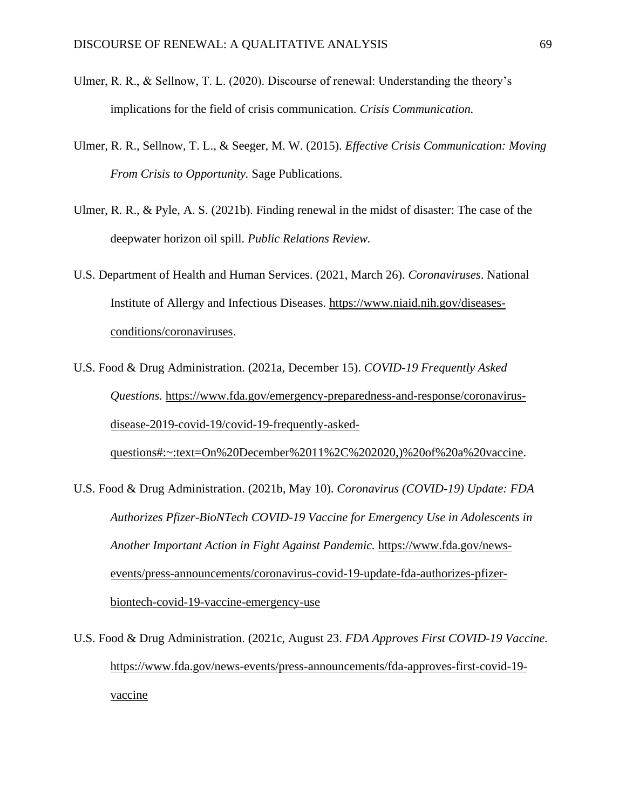- Ulmer, R. R., & Sellnow, T. L. (2020). Discourse of renewal: Understanding the theory's implications for the field of crisis communication. *Crisis Communication.*
- Ulmer, R. R., Sellnow, T. L., & Seeger, M. W. (2015). *Effective Crisis Communication: Moving From Crisis to Opportunity.* Sage Publications.
- Ulmer, R. R., & Pyle, A. S. (2021b). Finding renewal in the midst of disaster: The case of the deepwater horizon oil spill. *Public Relations Review.*
- U.S. Department of Health and Human Services. (2021, March 26). *Coronaviruses*. National Institute of Allergy and Infectious Diseases. [https://www.niaid.nih.gov/diseases](https://www.niaid.nih.gov/diseases-conditions/coronaviruses)[conditions/coronaviruses.](https://www.niaid.nih.gov/diseases-conditions/coronaviruses)
- U.S. Food & Drug Administration. (2021a, December 15). *COVID-19 Frequently Asked Questions.* [https://www.fda.gov/emergency-preparedness-and-response/coronavirus](https://www.fda.gov/emergency-preparedness-and-response/coronavirus-disease-2019-covid-19/covid-19-frequently-asked-questions#:~:text=On%252520December%25252011%25252C%2525202020,)%252520of%252520a%252520vaccine)[disease-2019-covid-19/covid-19-frequently-asked](https://www.fda.gov/emergency-preparedness-and-response/coronavirus-disease-2019-covid-19/covid-19-frequently-asked-questions#:~:text=On%252520December%25252011%25252C%2525202020,)%252520of%252520a%252520vaccine)[questions#:~:text=On%20December%2011%2C%202020,\)%20of%20a%20vaccine.](https://www.fda.gov/emergency-preparedness-and-response/coronavirus-disease-2019-covid-19/covid-19-frequently-asked-questions#:~:text=On%252520December%25252011%25252C%2525202020,)%252520of%252520a%252520vaccine)
- U.S. Food & Drug Administration. (2021b, May 10). *Coronavirus (COVID-19) Update: FDA Authorizes Pfizer-BioNTech COVID-19 Vaccine for Emergency Use in Adolescents in Another Important Action in Fight Against Pandemic.* [https://www.fda.gov/news](https://www.fda.gov/news-events/press-announcements/coronavirus-covid-19-update-fda-authorizes-pfizer-biontech-covid-19-vaccine-emergency-use)[events/press-announcements/coronavirus-covid-19-update-fda-authorizes-pfizer](https://www.fda.gov/news-events/press-announcements/coronavirus-covid-19-update-fda-authorizes-pfizer-biontech-covid-19-vaccine-emergency-use)[biontech-covid-19-vaccine-emergency-use](https://www.fda.gov/news-events/press-announcements/coronavirus-covid-19-update-fda-authorizes-pfizer-biontech-covid-19-vaccine-emergency-use)
- U.S. Food & Drug Administration. (2021c, August 23. *FDA Approves First COVID-19 Vaccine.*  [https://www.fda.gov/news-events/press-announcements/fda-approves-first-covid-19](https://www.fda.gov/news-events/press-announcements/fda-approves-first-covid-19-vaccine) [vaccine](https://www.fda.gov/news-events/press-announcements/fda-approves-first-covid-19-vaccine)